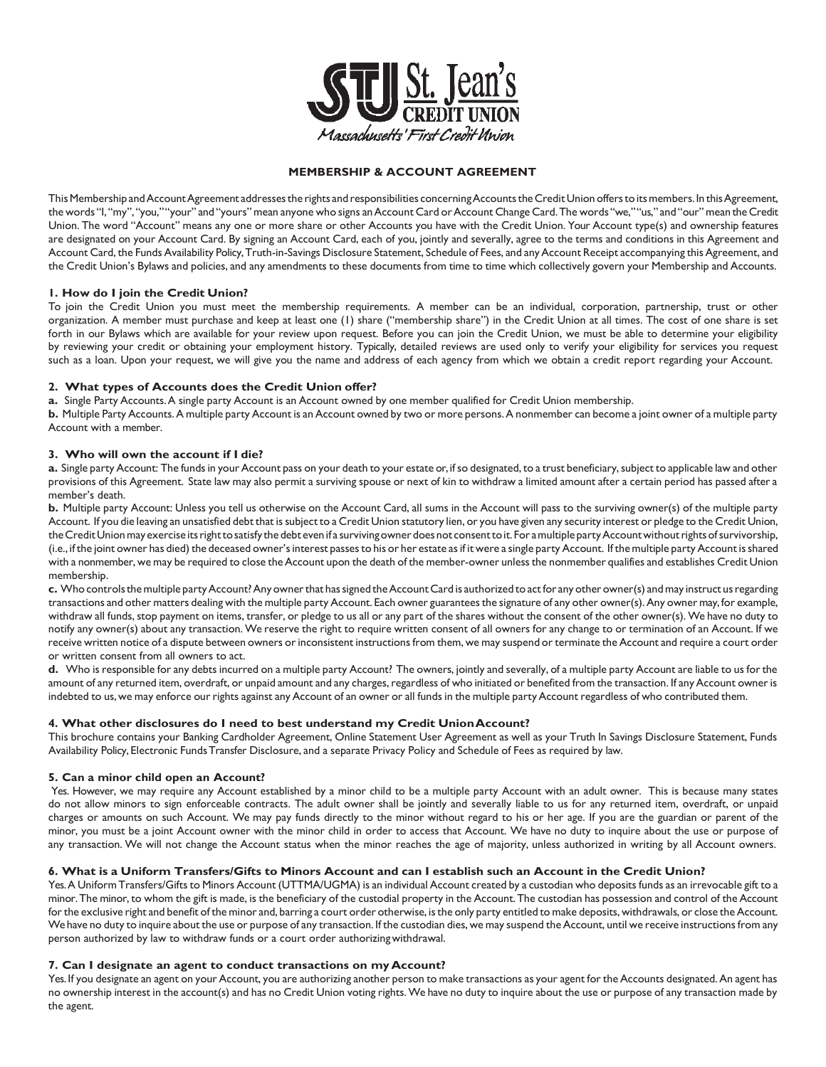

# **MEMBERSHIP & ACCOUNT AGREEMENT**

This Membership and Account Agreement addresses the rights and responsibilities concerning Accounts the Credit Union offers to its members. In this Agreement, the words "I, "my", "you," "your" and "yours" mean anyone who signs an Account Card or Account Change Card. The words "we," "us," and "our" mean the Credit Union. The word "Account" means any one or more share or other Accounts you have with the Credit Union. Your Account type(s) and ownership features are designated on your Account Card. By signing an Account Card, each of you, jointly and severally, agree to the terms and conditions in this Agreement and Account Card, the Funds Availability Policy, Truth-in-Savings Disclosure Statement, Schedule of Fees, and any Account Receipt accompanying this Agreement, and the Credit Union's Bylaws and policies, and any amendments to these documents from time to time which collectively govern your Membership and Accounts.

### **1. How do I join the Credit Union?**

To join the Credit Union you must meet the membership requirements. A member can be an individual, corporation, partnership, trust or other organization. A member must purchase and keep at least one (1) share ("membership share") in the Credit Union at all times. The cost of one share is set forth in our Bylaws which are available for your review upon request. Before you can join the Credit Union, we must be able to determine your eligibility by reviewing your credit or obtaining your employment history. Typically, detailed reviews are used only to verify your eligibility for services you request such as a loan. Upon your request, we will give you the name and address of each agency from which we obtain a credit report regarding your Account.

### **2. What types of Accounts does the Credit Union offer?**

**a.** Single Party Accounts.A single party Account is an Account owned by one member qualified for Credit Union membership.

**b.** Multiple Party Accounts.A multiple party Account is an Account owned by two or more persons.A nonmember can become a joint owner of a multiple party Account with a member.

# **3. Who will own the account if I die?**

a. Single party Account: The funds in your Account pass on your death to your estate or, if so designated, to a trust beneficiary, subject to applicable law and other provisions of this Agreement. State law may also permit a surviving spouse or next of kin to withdraw a limited amount after a certain period has passed after a member's death.

**b.** Multiple party Account: Unless you tell us otherwise on the Account Card, all sums in the Account will pass to the surviving owner(s) of the multiple party Account. If you die leaving an unsatisfied debt that issubject to a Credit Union statutory lien, or you have given any security interest or pledge to the Credit Union, the Credit Union may exercise its right to satisfy the debt even if a surviving owner does not consent to it. For a multiple party Account without rights of survivorship, (i.e., if the joint owner has died) the deceased owner's interest passes to his or her estate as if it were a single party Account. If the multiple party Account is shared with a nonmember, we may be required to close the Account upon the death of the member-owner unless the nonmember qualifies and establishes Credit Union membership.

**c.** Who controlsthemultiple partyAccount?Any ownerthat hassigned theAccount Card is authorized toactfor any other owner(s) andmay instruct usregarding transactions and other matters dealing with the multiple party Account. Each owner guarantees the signature of any other owner(s). Any owner may, for example, withdraw all funds, stop payment on items, transfer, or pledge to us all or any part of the shares without the consent of the other owner(s). We have no duty to notify any owner(s) about any transaction. We reserve the right to require written consent of all owners for any change to or termination of an Account. If we receive written notice of a dispute between owners or inconsistent instructions from them, we may suspend or terminate the Account and require a court order or written consent from all owners to act.

**d.** Who is responsible for any debts incurred on a multiple party Account? The owners, jointly and severally, of a multiple party Account are liable to us forthe amount of any returned item, overdraft, or unpaid amount and any charges, regardless of who initiated or benefited from the transaction. If any Account owner is indebted to us, we may enforce our rights against any Account of an owner or all funds in the multiple party Account regardless of who contributed them.

### **4. What other disclosures do I need to best understand my Credit UnionAccount?**

This brochure contains your Banking Cardholder Agreement, Online Statement User Agreement as well as your Truth In Savings Disclosure Statement, Funds Availability Policy, Electronic FundsTransfer Disclosure, and a separate Privacy Policy and Schedule of Fees as required by law.

### **5. Can a minor child open an Account?**

Yes. However, we may require any Account established by a minor child to be a multiple party Account with an adult owner. This is because many states do not allow minors to sign enforceable contracts. The adult owner shall be jointly and severally liable to us for any returned item, overdraft, or unpaid charges or amounts on such Account. We may pay funds directly to the minor without regard to his or her age. If you are the guardian or parent of the minor, you must be a joint Account owner with the minor child in order to access that Account. We have no duty to inquire about the use or purpose of any transaction. We will not change the Account status when the minor reaches the age of majority, unless authorized in writing by all Account owners.

### 6. What is a Uniform Transfers/Gifts to Minors Account and can I establish such an Account in the Credit Union?

Yes. A Uniform Transfers/Gifts to Minors Account (UTTMA/UGMA) is an individual Account created by a custodian who deposits funds as an irrevocable gift to a minor.The minor, to whom the gift is made, is the beneficiary of the custodial property in the Account.The custodian has possession and control of the Account for the exclusive right and benefit of the minor and, barring a court order otherwise, is the only party entitled to make deposits, withdrawals, or close the Account. We have no duty to inquire about the use or purpose of any transaction. If the custodian dies, we may suspend the Account, until we receive instructions from any person authorized by law to withdraw funds or a court order authorizingwithdrawal.

### **7. Can I designate an agent to conduct transactions on myAccount?**

Yes. If you designate an agent on your Account, you are authorizing another person to make transactions as your agent for the Accounts designated. An agent has no ownership interest in the account(s) and has no Credit Union voting rights.We have no duty to inquire about the use or purpose of any transaction made by the agent.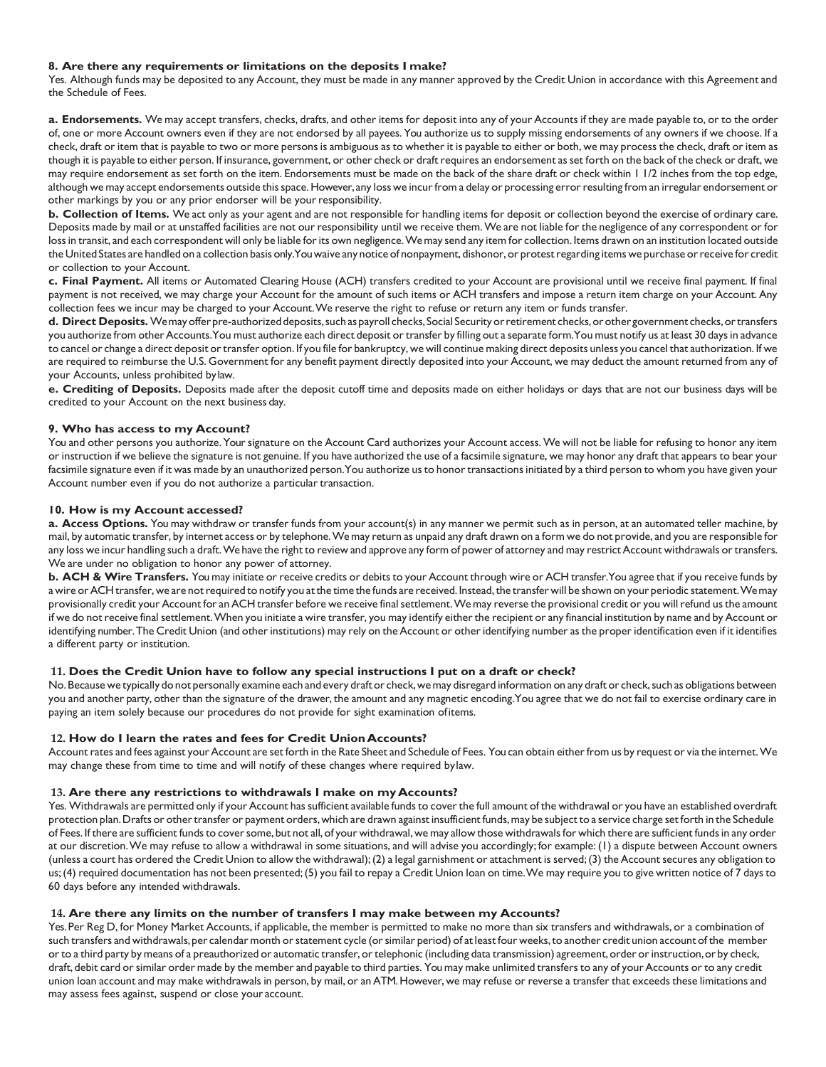#### **8. Are there any requirements or limitations on the deposits I make?**

Yes. Although funds may be deposited to any Account, they must be made in any manner approved by the Credit Union in accordance with this Agreement and the Schedule of Fees.

**a. Endorsements.** We may accept transfers, checks, drafts, and other items for deposit into any of your Accounts if they are made payable to, or to the order of, one or more Account owners even if they are not endorsed by all payees. You authorize us to supply missing endorsements of any owners if we choose. If a check, draft or item that is payable to two or more persons is ambiguous as to whether it is payable to either or both, we may process the check, draft or item as though it is payable to either person. If insurance, government, or other check or draft requires an endorsement asset forth on the back of the check or draft, we may require endorsement as set forth on the item. Endorsements must be made on the back of the share draft or check within 1 1/2 inches from the top edge, although we may accept endorsements outside this space. However, any loss we incur from a delay or processing error resulting from an irregular endorsement or other markings by you or any prior endorser will be your responsibility.

**b. Collection of Items.** We act only as your agent and are not responsible for handling items for deposit or collection beyond the exercise of ordinary care. Deposits made by mail or at unstaffed facilities are not our responsibility until we receive them.We are not liable for the negligence of any correspondent or for loss in transit, and each correspondent will only be liable for its own negligence. We may send any item for collection. Items drawn on an institution located outside the United States are handled on a collection basis only. You waive any notice of nonpayment, dishonor, or protest regarding items we purchase or receive for credit or collection to your Account.

**c. Final Payment.** All items or Automated Clearing House (ACH) transfers credited to your Account are provisional until we receive final payment. If final payment is not received, we may charge your Account for the amount of such items or ACH transfers and impose a return item charge on your Account. Any collection fees we incur may be charged to your Account.We reserve the right to refuse or return any item or funds transfer.

d. Direct Deposits. We may offer pre-authorized deposits, such as payroll checks, Social Security or retirement checks, or other government checks, or transfers you authorize from other Accounts.You must authorize each direct deposit or transfer by filling out a separate form.You must notify us at least 30 days in advance to cancel or change a direct deposit ortransfer option. If you file for bankruptcy, we will continue making direct deposits unless you cancel that authorization. If we are required to reimburse the U.S. Government for any benefit payment directly deposited into your Account, we may deduct the amount returned from any of your Accounts, unless prohibited by law.

**e. Crediting of Deposits.** Deposits made after the deposit cutoff time and deposits made on either holidays or days that are not our business days will be credited to your Account on the next business day.

#### **9. Who has access to my Account?**

You and other persons you authorize. Your signature on the Account Card authorizes your Account access. We will not be liable for refusing to honor any item or instruction if we believe the signature is not genuine. If you have authorized the use of a facsimile signature, we may honor any draft that appears to bear your facsimile signature even if it was made by an unauthorized person. You authorize us to honor transactions initiated by a third person to whom you have given your Account number even if you do not authorize a particular transaction.

#### **10. How is my Account accessed?**

**a. Access Options.** You may withdraw or transfer funds from your account(s) in any manner we permit such as in person, at an automated teller machine, by mail, by automatic transfer, by internet access or by telephone.Wemay return as unpaid any draft drawn on a form we do not provide, and you are responsible for any loss we incur handling such a draft. We have the right to review and approve any form of power of attorney and may restrict Account withdrawals or transfers. We are under no obligation to honor any power of attorney.

**b. ACH & Wire Transfers.** You may initiate or receive credits or debitsto your Account through wire or ACH transfer.You agree that if you receive funds by a wire or ACH transfer, we are not required to notify you at the time the funds are received. Instead, the transfer will be shown on your periodic statement. We may provisionally credit your Account for an ACH transfer before we receive final settlement. We may reverse the provisional credit or you will refund us the amount if we do not receive final settlement. When you initiate a wire transfer, you may identify either the recipient or any financial institution by name and by Account or identifying number. The Credit Union (and other institutions) may rely on the Account or other identifying number as the proper identification even if it identifies a different party or institution.

#### **11. Does the Credit Union have to follow any special instructions I put on a draft or check?**

No. Because we typically do not personally examine each and every draft or check, we may disregard information on any draft or check, such as obligations between you and another party, other than the signature of the drawer, the amount and any magnetic encoding.You agree that we do not fail to exercise ordinary care in paying an item solely because our procedures do not provide for sight examination ofitems.

#### **12. How do I learn the rates and fees for Credit UnionAccounts?**

Account rates and fees against your Account are set forth in the Rate Sheet and Schedule of Fees. You can obtain either from us by request or via the internet. We may change these from time to time and will notify of these changes where required bylaw.

#### **13. Are there any restrictions to withdrawals I make on my Accounts?**

Yes. Withdrawals are permitted only if your Account has sufficient available funds to cover the full amount of the withdrawal or you have an established overdraft protection plan. Drafts or other transfer or payment orders, which are drawn against insufficient funds, may be subject to a service charge set forth in the Schedule of Fees. If there are sufficient funds to cover some, but not all, of your withdrawal, we may allow those withdrawals for which there are sufficient funds in any order at our discretion.We may refuse to allow a withdrawal in some situations, and will advise you accordingly; for example: (1) a dispute between Account owners (unless a court has ordered the Credit Union to allow the withdrawal);(2) a legal garnishment or attachment is served;(3) the Account secures any obligation to us;(4) required documentation has not been presented;(5) you fail to repay a Credit Union loan on time.We may require you to give written notice of 7 daysto 60 days before any intended withdrawals.

#### **14. Are there any limits on the number of transfers I may make between my Accounts?**

Yes. Per Reg D, for Money Market Accounts, if applicable, the member is permitted to make no more than six transfers and withdrawals, or a combination of such transfers and withdrawals, per calendar month or statement cycle (or similar period) of at least four weeks, to another credit union account of the member or to a third party by means of a preauthorized or automatic transfer, or telephonic (including data transmission) agreement, order or instruction, or by check, draft, debit card or similar order made by the member and payable to third parties. You may make unlimited transfers to any of your Accounts or to any credit union loan account and may make withdrawals in person, by mail, or anATM.However, we may refuse or reverse a transfer that exceeds these limitations and may assess fees against, suspend or close your account.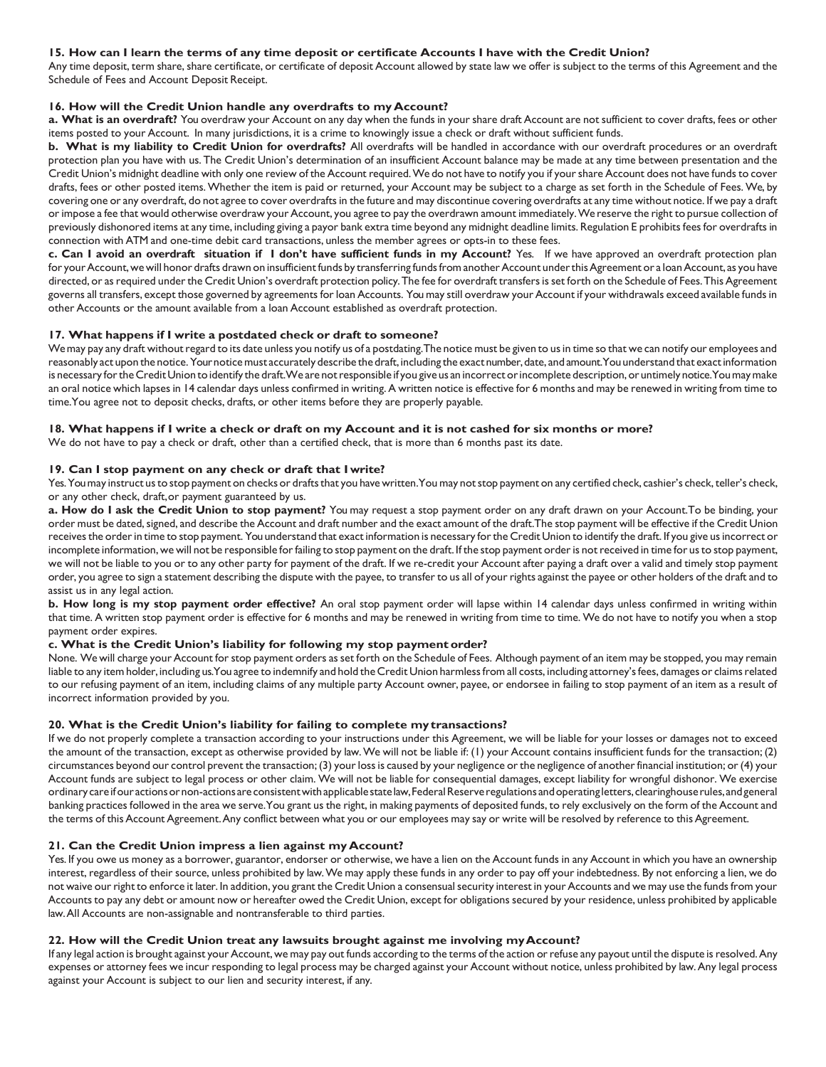## 15. How can I learn the terms of any time deposit or certificate Accounts I have with the Credit Union?

Any time deposit, term share, share certificate, or certificate of deposit Account allowed by state law we offer is subject to the terms of this Agreement and the Schedule of Fees and Account Deposit Receipt.

# **16. How will the Credit Union handle any overdrafts to my Account?**

**a. What is an overdraft?** You overdraw your Account on any day when the funds in your share draft Account are not sufficient to cover drafts, fees or other items posted to your Account. In many jurisdictions, it is a crime to knowingly issue a check or draft without sufficient funds.

**b. What is my liability to Credit Union for overdrafts?** All overdrafts will be handled in accordance with our overdraft procedures or an overdraft protection plan you have with us. The Credit Union's determination of an insufficient Account balance may be made at any time between presentation and the Credit Union's midnight deadline with only one review of the Account required.We do not have to notify you if yourshare Account does not have fundsto cover drafts, fees or other posted items. Whether the item is paid or returned, your Account may be subject to a charge as set forth in the Schedule of Fees. We, by covering one or any overdraft, do not agree to cover overdraftsin the future and may discontinue covering overdrafts at any time without notice. If we pay a draft orimpose a fee that would otherwise overdraw your Account, you agree to pay the overdrawn amount immediately.We reserve the right to pursue collection of previously dishonored items at any time, including giving a payor bank extra time beyond any midnight deadline limits. Regulation E prohibits feesfor overdrafts in connection with ATM and one-time debit card transactions, unless the member agrees or opts-in to these fees.

c. Can I avoid an overdraft situation if I don't have sufficient funds in my Account? Yes. If we have approved an overdraft protection plan for your Account, we will honor drafts drawn on insufficient funds by transferring funds from another Account under this Agreement or a loan Account, as you have directed, or as required under the Credit Union's overdraft protection policy. The fee for overdraft transfers is set forth on the Schedule of Fees. This Agreement governs all transfers, except those governed by agreements for loan Accounts. You may still overdraw your Account if your withdrawals exceed available funds in other Accounts or the amount available from a loan Account established as overdraft protection.

### **17. What happens if I write a postdated check or draft to someone?**

We may pay any draft without regard to its date unless you notify us of a postdating. The notice must be given to us in time so that we can notify our employees and reasonably act upon the notice. Your notice must accurately describe the draft, including the exact number, date, and amount. You understand that exact information is necessary for the Credit Union to identify the draft. We are not responsible if you give us an incorrect or incomplete description, or untimely notice. You may make an oral notice which lapses in 14 calendar days unless confirmed in writing.A written notice is effective for 6 months and may be renewed in writing from time to time.You agree not to deposit checks, drafts, or other items before they are properly payable.

#### 18. What happens if I write a check or draft on my Account and it is not cashed for six months or more?

We do not have to pay a check or draft, other than a certified check, that is more than 6 months past its date.

### **19. Can I stop payment on any check or draft that I write?**

Yes. You may instruct us to stop payment on checks or drafts that you have written. You may not stop payment on any certified check, cashier's check, teller's check, or any other check, draft,or payment guaranteed by us.

**a. How do I ask the Credit Union to stop payment?** You may request a stop payment order on any draft drawn on your Account.To be binding, your order must be dated,signed, and describe the Account and draft number and the exact amount of the draft.The stop payment will be effective if the Credit Union receives the order in time to stop payment. You understand that exact information is necessary for the Credit Union to identify the draft. If you give us incorrect or incomplete information, we will not be responsible forfailing to stop payment on the draft. If the stop payment orderis notreceived in time for usto stop payment, we will not be liable to you or to any other party for payment of the draft. If we re-credit your Account after paying a draft over a valid and timely stop payment order, you agree to sign a statement describing the dispute with the payee, to transferto us all of yourrights against the payee or other holders of the draft and to assist us in any legal action.

**b. How long is my stop payment order effective?** An oral stop payment order will lapse within 14 calendar days unless confirmed in writing within that time. A written stop payment order is effective for 6 months and may be renewed in writing from time to time. We do not have to notify you when a stop payment order expires.

### **c. What is the Credit Union's liability for following my stop payment order?**

None. We will charge your Account forstop payment orders as set forth on the Schedule of Fees. Although payment of an item may be stopped, you may remain liable to any item holder, including us.You agree to indemnify and hold the Credit Union harmless from all costs, including attorney's fees, damages or claims related to our refusing payment of an item, including claims of any multiple party Account owner, payee, or endorsee in failing to stop payment of an item as a result of incorrect information provided by you.

### **20. What is the Credit Union's liability for failing to complete my transactions?**

If we do not properly complete a transaction according to your instructions under this Agreement, we will be liable for your losses or damages not to exceed the amount of the transaction, except as otherwise provided by law.We will not be liable if: (1) your Account contains insufficient funds for the transaction; (2) circumstances beyond our control prevent the transaction; (3) yourlossis caused by your negligence orthe negligence of anotherfinancial institution; or(4) your Account funds are subject to legal process or other claim. We will not be liable for consequential damages, except liability for wrongful dishonor. We exercise ordinary careifour actionsornon-actions areconsistentwithapplicablestatelaw,FederalReserveregulations andoperating letters,clearinghouserules,andgeneral banking practices followed in the area we serve.You grant us the right, in making payments of deposited funds, to rely exclusively on the form of the Account and the terms of this Account Agreement. Any conflict between what you or our employees may say or write will be resolved by reference to this Agreement.

### **21. Can the Credit Union impress a lien against my Account?**

Yes. If you owe us money as a borrower, guarantor, endorser or otherwise, we have a lien on the Account funds in any Account in which you have an ownership interest, regardless of their source, unless prohibited by law.We may apply these funds in any order to pay off your indebtedness. By not enforcing a lien, we do not waive our right to enforce it later. In addition, you grant the Credit Union a consensual security interest in your Accounts and we may use the funds from your Accounts to pay any debt or amount now or hereafter owed the Credit Union, except for obligations secured by your residence, unless prohibited by applicable law.All Accounts are non-assignable and nontransferable to third parties.

### **22. How will the Credit Union treat any lawsuits brought against me involving myAccount?**

If any legal action is brought against your Account, we may pay out funds according to the terms of the action or refuse any payout until the dispute is resolved. Any expenses or attorney fees we incur responding to legal process may be charged against your Account without notice, unless prohibited by law.Any legal process against your Account is subject to our lien and security interest, if any.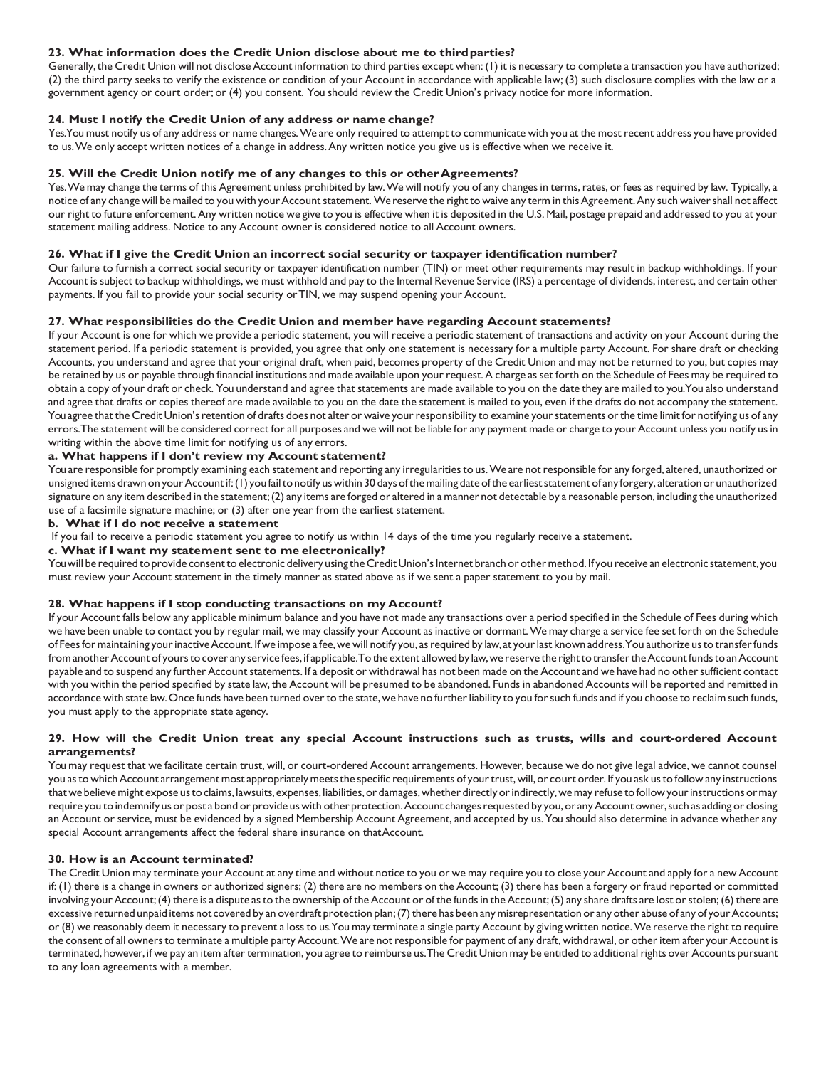# **23. What information does the Credit Union disclose about me to thirdparties?**

Generally,the Credit Union will not disclose Account information to third parties except when:(1) it is necessary to complete a transaction you have authorized; (2) the third party seeks to verify the existence or condition of your Account in accordance with applicable law; (3) such disclosure complies with the law or a government agency or court order; or (4) you consent. You should review the Credit Union's privacy notice for more information.

# **24. Must I notify the Credit Union of any address or name change?**

Yes.You must notify us of any address or name changes.We are only required to attempt to communicate with you at the most recent address you have provided to us.We only accept written notices of a change in address.Any written notice you give us is effective when we receive it.

## **25. Will the Credit Union notify me of any changes to this or otherAgreements?**

Yes. We may change the terms of this Agreement unless prohibited by law. We will notify you of any changes in terms, rates, or fees as required by law. Typically, a notice of any change will be mailed to you with your Account statement. We reserve the right to waive any term in this Agreement. Any such waiver shall not affect our right to future enforcement.Any written notice we give to you is effective when it is deposited in the U.S. Mail, postage prepaid and addressed to you at your statement mailing address. Notice to any Account owner is considered notice to all Account owners.

# **26. What if I give the Credit Union an incorrect social security or taxpayer identification number?**

Our failure to furnish a correct social security or taxpayer identification number (TIN) or meet other requirements may result in backup withholdings. If your Account is subject to backup withholdings, we must withhold and pay to the Internal Revenue Service (IRS) a percentage of dividends, interest, and certain other payments. If you fail to provide your social security orTIN, we may suspend opening your Account.

# **27. What responsibilities do the Credit Union and member have regarding Account statements?**

If your Account is one for which we provide a periodic statement, you will receive a periodic statement of transactions and activity on your Account during the statement period. If a periodic statement is provided, you agree that only one statement is necessary for a multiple party Account. For share draft or checking Accounts, you understand and agree that your original draft, when paid, becomes property of the Credit Union and may not be returned to you, but copies may be retained by us or payable through financial institutions and made available upon yourrequest.A charge asset forth on the Schedule of Fees may be required to obtain a copy of your draft or check. You understand and agree that statements are made available to you on the date they are mailed to you.You also understand and agree that drafts or copies thereof are made available to you on the date the statement is mailed to you, even if the drafts do not accompany the statement. You agree that the Credit Union's retention of drafts does not alter or waive your responsibility to examine your statements or the time limit for notifying us of any errors.The statement will be considered correct for all purposes and we will not be liable for any payment made or charge to your Account unless you notify usin writing within the above time limit for notifying us of any errors.

### **a. What happens if I don't review my Account statement?**

You are responsible for promptly examining each statement and reporting any irregularitiesto us.We are notresponsible for any forged, altered, unauthorized or unsigned items drawn on your Account if: (1) you fail to notify us within 30 days of the mailing date of the earliest statement of any forgery, alteration or unauthorized signature on any item described in the statement;(2) any items are forged or altered in a manner not detectable by a reasonable person, including the unauthorized use of a facsimile signature machine; or (3) after one year from the earliest statement.

### **b. What if I do not receive a statement**

If you fail to receive a periodic statement you agree to notify us within 14 days of the time you regularly receive a statement.

### **c. What if I want my statement sent to me electronically?**

You will be required to provide consent to electronic delivery using the Credit Union's Internet branch or other method. If you receive an electronic statement, you must review your Account statement in the timely manner as stated above as if we sent a paper statement to you by mail.

### **28. What happens if I stop conducting transactions on my Account?**

If your Account falls below any applicable minimum balance and you have not made any transactions over a period specified in the Schedule of Fees during which we have been unable to contact you by regular mail, we may classify your Account as inactive or dormant.We may charge a service fee set forth on the Schedule of Feesformaintaining yourinactiveAccount. If we impose a fee,we will notify you, asrequired by law,at yourlast known address.You authorize usto transferfunds from another Account of yours to cover any service fees, if applicable. To the extent allowed by law, we reserve the right to transfer the Account funds to an Account payable and to suspend any further Account statements. If a deposit or withdrawal has not been made on the Account and we have had no other sufficient contact with you within the period specified by state law, the Account will be presumed to be abandoned. Funds in abandoned Accounts will be reported and remitted in accordance with state law. Once funds have been turned over to the state, we have no further liability to you for such funds and if you choose to reclaim such funds, you must apply to the appropriate state agency.

### **29. How will the Credit Union treat any special Account instructions such as trusts, wills and court-ordered Account arrangements?**

You may request that we facilitate certain trust, will, or court-ordered Account arrangements. However, because we do not give legal advice, we cannot counsel you as to which Account arrangement most appropriately meets the specific requirements of your trust, will, or court order. If you ask us to follow any instructions that we believe might expose us to claims, lawsuits, expenses, liabilities, or damages, whether directly or indirectly, we may refuse to follow your instructions or may require you to indemnify us or post a bond or provide us with other protection. Account changes requested by you, or any Account owner, such as adding or closing an Account or service, must be evidenced by a signed Membership Account Agreement, and accepted by us. You should also determine in advance whether any special Account arrangements affect the federal share insurance on thatAccount.

### **30. How is an Account terminated?**

The Credit Union may terminate your Account at any time and without notice to you or we may require you to close your Account and apply for a new Account if: (1) there is a change in owners or authorized signers; (2) there are no members on the Account; (3) there has been a forgery or fraud reported or committed involving your Account; (4) there is a dispute as to the ownership of the Account or of the funds in the Account; (5) any share drafts are lost or stolen; (6) there are excessive returned unpaid items not covered by an overdraft protection plan; (7) there has been any misrepresentation or any other abuse of any of your Accounts; or (8) we reasonably deem it necessary to prevent a loss to us. You may terminate a single party Account by giving written notice. We reserve the right to require the consent of all owners to terminate a multiple party Account. We are not responsible for payment of any draft, withdrawal, or other item after your Account is terminated, however, if we pay an item after termination, you agree to reimburse us. The Credit Union may be entitled to additional rights over Accounts pursuant to any loan agreements with a member.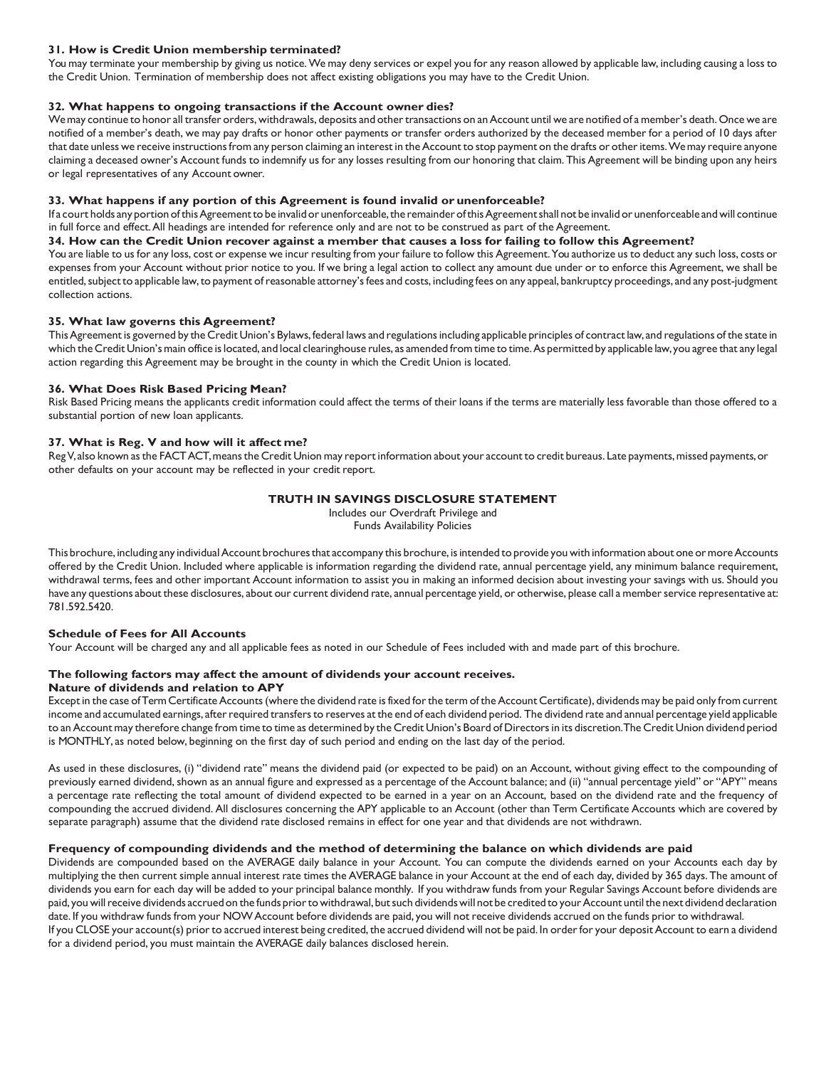# **31. How is Credit Union membership terminated?**

You may terminate your membership by giving us notice.We may deny services or expel you for any reason allowed by applicable law, including causing a loss to the Credit Union. Termination of membership does not affect existing obligations you may have to the Credit Union.

# **32. What happens to ongoing transactions if the Account owner dies?**

We may continue to honor all transfer orders, withdrawals, deposits and other transactions on an Account until we are notified of a member's death. Once we are notified of a member's death, we may pay drafts or honor other payments or transfer orders authorized by the deceased member for a period of 10 days after that date unless we receive instructions from any person claiming an interest in the Account to stop payment on the drafts or other items. We may require anyone claiming a deceased owner's Account funds to indemnify us for any losses resulting from our honoring that claim. This Agreement will be binding upon any heirs or legal representatives of any Account owner.

# **33. What happens if any portion of this Agreement is found invalid or unenforceable?**

If a court holds any portion of this Agreement to be invalid or unenforceable, the remainder of this Agreement shall not be invalid or unenforceable and will continue in full force and effect.All headings are intended for reference only and are not to be construed as part of the Agreement.

### 34. How can the Credit Union recover against a member that causes a loss for failing to follow this Agreement?

You are liable to us for any loss, cost or expense we incur resulting from your failure to follow this Agreement. You authorize us to deduct any such loss, costs or expenses from your Account without prior notice to you. If we bring a legal action to collect any amount due under or to enforce this Agreement, we shall be entitled, subject to applicable law, to payment of reasonable attorney's fees and costs, including fees on any appeal, bankruptcy proceedings, and any post-judgment collection actions.

### **35. What law governs this Agreement?**

ThisAgreement is governed by the Credit Union's Bylaws, federal laws and regulationsincluding applicable principles of contract law, and regulations of the state in which the Credit Union's main office is located, and local clearinghouse rules, as amended from time to time. As permitted by applicable law, you agree that any legal action regarding this Agreement may be brought in the county in which the Credit Union is located.

# **36. What Does Risk Based Pricing Mean?**

Risk Based Pricing means the applicants credit information could affect the terms of their loans if the terms are materially less favorable than those offered to a substantial portion of new loan applicants.

# **37. What is Reg. V and how will it affect me?**

Reg V, also known as the FACT ACT, means the Credit Union may report information about your account to credit bureaus. Late payments, missed payments, or other defaults on your account may be reflected in your credit report.

# **TRUTH IN SAVINGS DISCLOSURE STATEMENT**

Includes our Overdraft Privilege and Funds Availability Policies

This brochure, including any individual Account brochures that accompany this brochure, is intended to provide you with information about one or more Accounts offered by the Credit Union. Included where applicable is information regarding the dividend rate, annual percentage yield, any minimum balance requirement, withdrawal terms, fees and other important Account information to assist you in making an informed decision about investing your savings with us. Should you have any questions about these disclosures, about our current dividend rate, annual percentage yield, or otherwise, please call a member service representative at: 781.592.5420.

### **Schedule of Fees for All Accounts**

Your Account will be charged any and all applicable fees as noted in our Schedule of Fees included with and made part of this brochure.

# **The following factors may affect the amount of dividends your account receives.**

# **Nature of dividends and relation to APY**

Except in the case of Term Certificate Accounts (where the dividend rate is fixed for the term of the Account Certificate), dividends may be paid only from current income and accumulated earnings, afterrequired transfersto reserves at the end of each dividend period. The dividend rate and annual percentage yield applicable to an Account may therefore change from time to time as determined by the Credit Union's Board of Directors in its discretion. The Credit Union dividend period is MONTHLY, as noted below, beginning on the first day of such period and ending on the last day of the period.

As used in these disclosures, (i) "dividend rate" means the dividend paid (or expected to be paid) on an Account, without giving effect to the compounding of previously earned dividend, shown as an annual figure and expressed as a percentage of the Account balance; and (ii) "annual percentage yield" or "APY" means a percentage rate reflecting the total amount of dividend expected to be earned in a year on an Account, based on the dividend rate and the frequency of compounding the accrued dividend. All disclosures concerning the APY applicable to an Account (other than Term Certificate Accounts which are covered by separate paragraph) assume that the dividend rate disclosed remains in effect for one year and that dividends are not withdrawn.

### **Frequency of compounding dividends and the method of determining the balance on which dividends are paid**

Dividends are compounded based on the AVERAGE daily balance in your Account. You can compute the dividends earned on your Accounts each day by multiplying the then current simple annual interest rate times the AVERAGE balance in your Account at the end of each day, divided by 365 days. The amount of dividends you earn for each day will be added to your principal balance monthly. If you withdraw funds from your Regular Savings Account before dividends are paid, you will receive dividends accrued on the funds prior to withdrawal, but such dividends will not be credited to your Account until the next dividend declaration date. If you withdraw funds from your NOWAccount before dividends are paid, you will not receive dividends accrued on the funds prior to withdrawal. If you CLOSE your account(s) prior to accrued interest being credited, the accrued dividend will not be paid. In order for your deposit Account to earn a dividend for a dividend period, you must maintain the AVERAGE daily balances disclosed herein.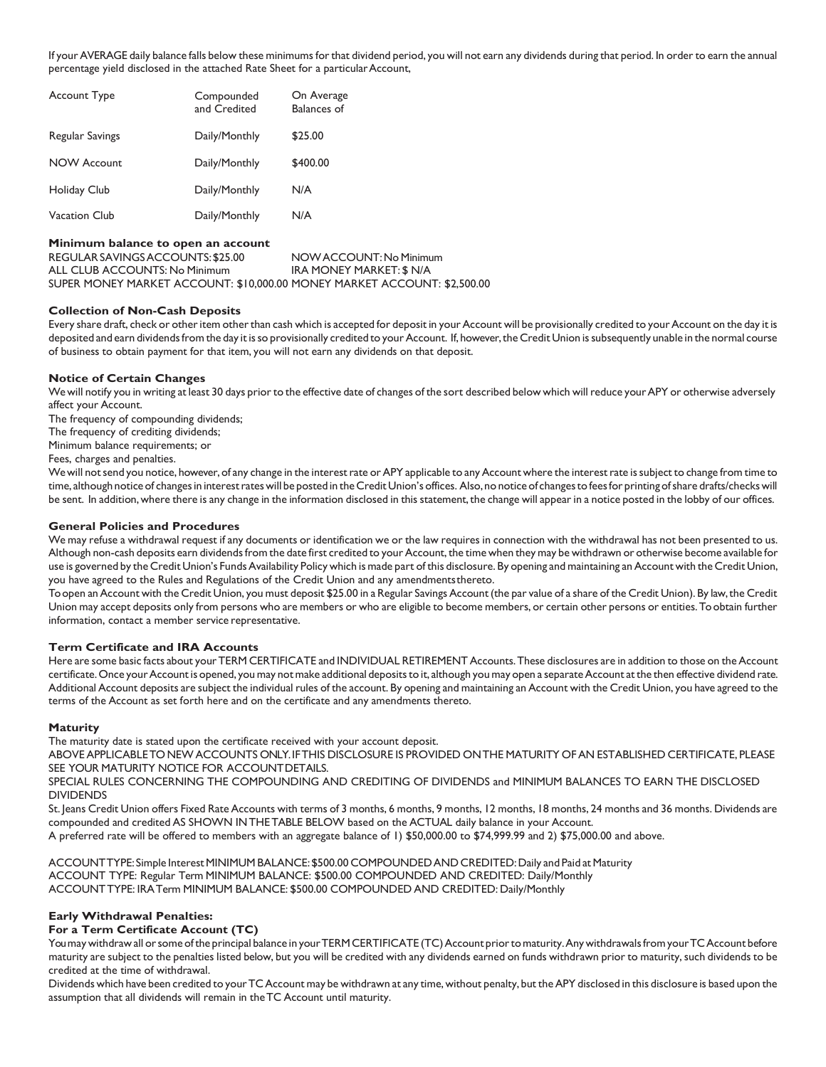If your AVERAGE daily balance falls below these minimums for that dividend period, you will not earn any dividends during that period. In order to earn the annual percentage yield disclosed in the attached Rate Sheet for a particular Account,

| <b>Account Type</b> | Compounded<br>and Credited | On Average<br><b>Balances of</b> |
|---------------------|----------------------------|----------------------------------|
| Regular Savings     | Daily/Monthly              | \$25.00                          |
| <b>NOW Account</b>  | Daily/Monthly              | \$400.00                         |
| Holiday Club        | Daily/Monthly              | N/A                              |
| Vacation Club       | Daily/Monthly              | N/A                              |

### **Minimum balance to open an account**

REGULARSAVINGSACCOUNTS:\$25.00 NOWACCOUNT:No Minimum ALL CLUB ACCOUNTS: No Minimum IRA MONEY MARKET: \$ N/A SUPER MONEY MARKET ACCOUNT: \$10,000.00 MONEY MARKET ACCOUNT: \$2,500.00

### **Collection of Non-Cash Deposits**

Every share draft, check or other item other than cash which is accepted for deposit in your Account will be provisionally credited to your Account on the day it is deposited and earn dividends from the day it is so provisionally credited to your Account. If, however, the Credit Union is subsequently unable in the normal course of business to obtain payment for that item, you will not earn any dividends on that deposit.

### **Notice of Certain Changes**

We will notify you in writing at least 30 days prior to the effective date of changes of the sort described below which will reduce your APY or otherwise adversely affect your Account.

The frequency of compounding dividends;

The frequency of crediting dividends;

Minimum balance requirements; or

Fees, charges and penalties.

We will not send you notice, however, of any change in the interest rate or APY applicable to any Account where the interest rate is subject to change from time to time, although notice of changes in interest rates will be posted in the Credit Union's offices. Also, no notice of changes to fees for printing of share drafts/checks will be sent. In addition, where there is any change in the information disclosed in this statement, the change will appear in a notice posted in the lobby of our offices.

### **General Policies and Procedures**

We may refuse a withdrawal request if any documents or identification we or the law requires in connection with the withdrawal has not been presented to us. Although non-cash deposits earn dividends from the date first credited to your Account, the time when they may be withdrawn or otherwise become available for use is governed by the Credit Union's Funds Availability Policy which is made part of this disclosure. By opening and maintaining an Account with the Credit Union, you have agreed to the Rules and Regulations of the Credit Union and any amendmentsthereto.

To open an Account with the Credit Union, you must deposit \$25.00 in a Regular Savings Account (the par value of a share of the Credit Union). By law, the Credit Union may accept deposits only from persons who are members or who are eligible to become members, or certain other persons or entities.Toobtain further information, contact a member service representative.

### **Term Certificate and IRA Accounts**

Here are some basic facts about your TERM CERTIFICATE and INDIVIDUAL RETIREMENT Accounts. These disclosures are in addition to those on the Account certificate. Once your Account is opened, you may not make additional deposits to it, although you may open a separate Account at the then effective dividend rate. Additional Account deposits are subject the individual rules of the account. By opening and maintaining an Account with the Credit Union, you have agreed to the terms of the Account as set forth here and on the certificate and any amendments thereto.

#### **Maturity**

The maturity date is stated upon the certificate received with your account deposit.

ABOVEAPPLICABLETO NEWACCOUNTS ONLY.IFTHIS DISCLOSURE IS PROVIDED ONTHE MATURITY OFAN ESTABLISHED CERTIFICATE, PLEASE SEE YOUR MATURITY NOTICE FOR ACCOUNT DETAILS.

SPECIAL RULES CONCERNING THE COMPOUNDING AND CREDITING OF DIVIDENDS and MINIMUM BALANCES TO EARN THE DISCLOSED DIVIDENDS

St. Jeans Credit Union offers Fixed Rate Accounts with terms of 3 months, 6 months, 9 months, 12 months, 18 months, 24 months and 36 months. Dividends are compounded and credited AS SHOWN INTHETABLE BELOW based on the ACTUAL daily balance in your Account.

A preferred rate will be offered to members with an aggregate balance of 1) \$50,000.00 to \$74,999.99 and 2) \$75,000.00 and above.

ACCOUNTTYPE: Simple Interest MINIMUM BALANCE: \$500.00 COMPOUNDED AND CREDITED: Daily and Paid at Maturity ACCOUNT TYPE: Regular Term MINIMUM BALANCE: \$500.00 COMPOUNDED AND CREDITED: Daily/Monthly ACCOUNTTYPE: IRATerm MINIMUM BALANCE: \$500.00 COMPOUNDED AND CREDITED: Daily/Monthly

### **Early Withdrawal Penalties:**

### **For a Term Certificate Account (TC)**

You may withdraw all or some of the principal balance in your TERM CERTIFICATE (TC) Account prior to maturity. Any withdrawals from your TC Account before maturity are subject to the penalties listed below, but you will be credited with any dividends earned on funds withdrawn prior to maturity, such dividends to be credited at the time of withdrawal.

Dividends which have been credited to your TC Account may be withdrawn at any time, without penalty, but the APY disclosed in this disclosure is based upon the assumption that all dividends will remain in theTC Account until maturity.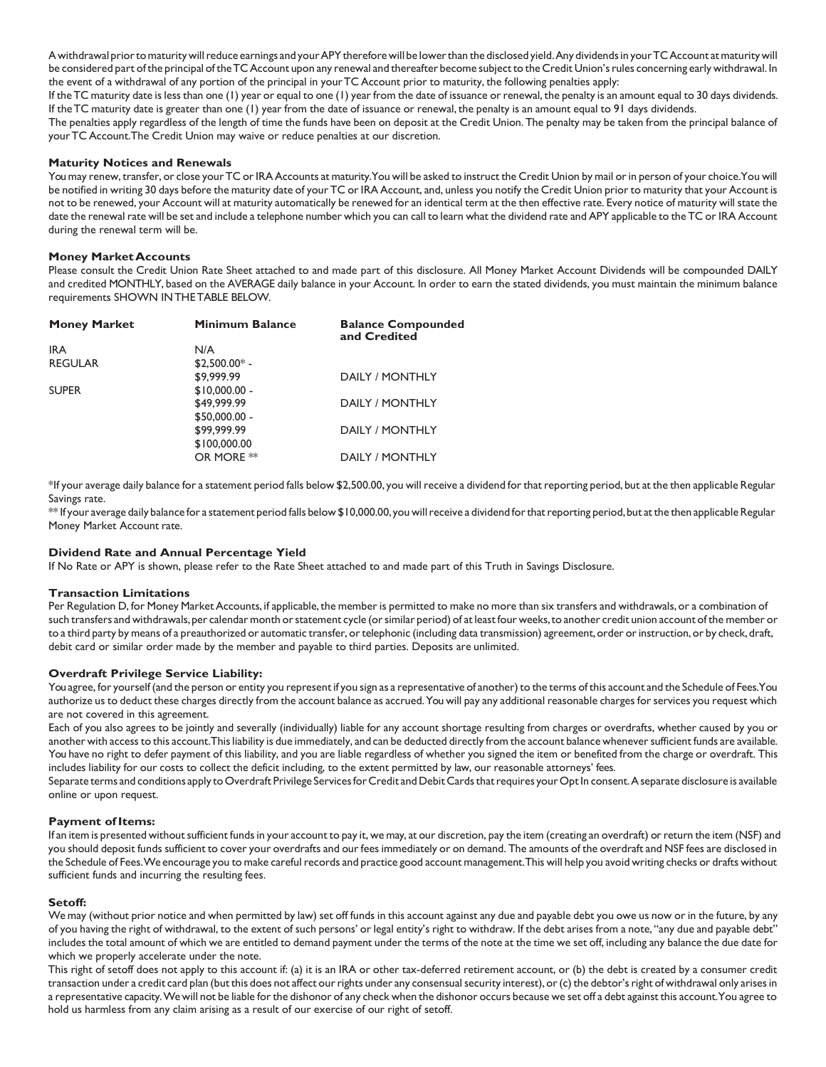A withdrawal prior to maturity will reduce earnings and your APY therefore will be lower than the disclosed yield. Any dividends in your TC Account at maturity will be considered part of the principal of the TC Account upon any renewal and thereafter become subject to the Credit Union's rules concerning early withdrawal. In the event of a withdrawal of any portion of the principal in yourTC Account prior to maturity, the following penalties apply:

If the TC maturity date is less than one (1) year or equal to one (1) year from the date of issuance or renewal, the penalty is an amount equal to 30 days dividends. If the TC maturity date is greater than one (1) year from the date of issuance or renewal, the penalty is an amount equal to 91 days dividends.

The penalties apply regardless of the length of time the funds have been on deposit at the Credit Union. The penalty may be taken from the principal balance of yourTC Account.The Credit Union may waive or reduce penalties at our discretion.

### **Maturity Notices and Renewals**

You may renew, transfer, or close your TC or IRA Accounts at maturity. You will be asked to instruct the Credit Union by mail or in person of your choice. You will be notified in writing 30 days before the maturity date of your TC or IRA Account, and, unless you notify the Credit Union prior to maturity that your Account is not to be renewed, your Account will at maturity automatically be renewed for an identical term at the then effective rate. Every notice of maturity will state the date the renewal rate will be set and include a telephone number which you can call to learn what the dividend rate and APY applicable to the TC or IRA Account during the renewal term will be.

### **Money MarketAccounts**

Please consult the Credit Union Rate Sheet attached to and made part of this disclosure. All Money Market Account Dividends will be compounded DAILY and credited MONTHLY, based on the AVERAGE daily balance in your Account. In order to earn the stated dividends, you must maintain the minimum balance requirements SHOWN INTHETABLE BELOW.

| <b>Money Market</b> | <b>Minimum Balance</b> | <b>Balance Compounded</b><br>and Credited |
|---------------------|------------------------|-------------------------------------------|
| <b>IRA</b>          | N/A                    |                                           |
| <b>REGULAR</b>      | $$2,500.00*$ -         |                                           |
|                     | \$9,999.99             | DAILY / MONTHLY                           |
| <b>SUPER</b>        | $$10,000.00 -$         |                                           |
|                     | \$49,999.99            | DAILY / MONTHLY                           |
|                     | $$50,000.00 -$         |                                           |
|                     | \$99,999.99            | DAILY / MONTHLY                           |
|                     | \$100,000.00           |                                           |
|                     | OR MORE <sup>**</sup>  | DAILY / MONTHLY                           |

\*If your average daily balance for a statement period falls below \$2,500.00, you will receive a dividend for that reporting period, but at the then applicable Regular Savings rate.

\*\* If your average daily balance for a statement period falls below\$10,000.00,you willreceive a dividend forthatreporting period,but atthe then applicableRegular Money Market Account rate.

### **Dividend Rate and Annual Percentage Yield**

If No Rate or APY is shown, please refer to the Rate Sheet attached to and made part of this Truth in Savings Disclosure.

#### **Transaction Limitations**

Per Regulation D, for Money Market Accounts, if applicable, the member is permitted to make no more than six transfers and withdrawals, or a combination of such transfers and withdrawals, per calendar month or statement cycle (or similar period) of at least four weeks, to another credit union account of the member or to a third party by means of a preauthorized or automatic transfer, or telephonic (including data transmission) agreement, order or instruction, or by check, draft, debit card or similar order made by the member and payable to third parties. Deposits are unlimited.

### **Overdraft Privilege Service Liability:**

You agree, for yourself (and the person or entity you represent if you sign as a representative of another) to the terms of this account and the Schedule of Fees.You authorize us to deduct these charges directly from the account balance as accrued. You will pay any additional reasonable charges for services you request which are not covered in this agreement.

Each of you also agrees to be jointly and severally (individually) liable for any account shortage resulting from charges or overdrafts, whether caused by you or another with accessto this account.Thisliability is due immediately, and can be deducted directly from the account balance wheneversufficient funds are available. You have no right to defer payment of this liability, and you are liable regardless of whether you signed the item or benefited from the charge or overdraft. This includes liability for our costs to collect the deficit including, to the extent permitted by law, our reasonable attorneys' fees.

Separate terms and conditions apply to Overdraft Privilege Services for Credit and Debit Cards that requires your Opt In consent. A separate disclosure is available online or upon request.

#### **Payment of Items:**

If an item is presented withoutsufficient fundsin your account to pay it, we may, at our discretion, pay the item (creating an overdraft) orreturn the item (NSF) and you should deposit funds sufficient to cover your overdrafts and ourfees immediately or on demand. The amounts of the overdraft and NSF fees are disclosed in the Schedule of Fees. We encourage you to make careful records and practice good account management. This will help you avoid writing checks or drafts without sufficient funds and incurring the resulting fees.

#### **Setoff:**

We may (without prior notice and when permitted by law) set off funds in this account against any due and payable debt you owe us now or in the future, by any of you having the right of withdrawal, to the extent of such persons' or legal entity's right to withdraw. If the debt arises from a note, "any due and payable debt" includes the total amount of which we are entitled to demand payment under the terms of the note at the time we set off, including any balance the due date for which we properly accelerate under the note.

This right of setoff does not apply to this account if: (a) it is an IRA or other tax-deferred retirement account, or (b) the debt is created by a consumer credit transaction under a credit card plan (but this does not affect our rights under any consensual security interest), or (c) the debtor's right of withdrawal only arises in a representative capacity.Wewill not be liable forthe dishonor of any check when the dishonor occurs because we set off a debt against this account.You agree to hold us harmless from any claim arising as a result of our exercise of our right of setoff.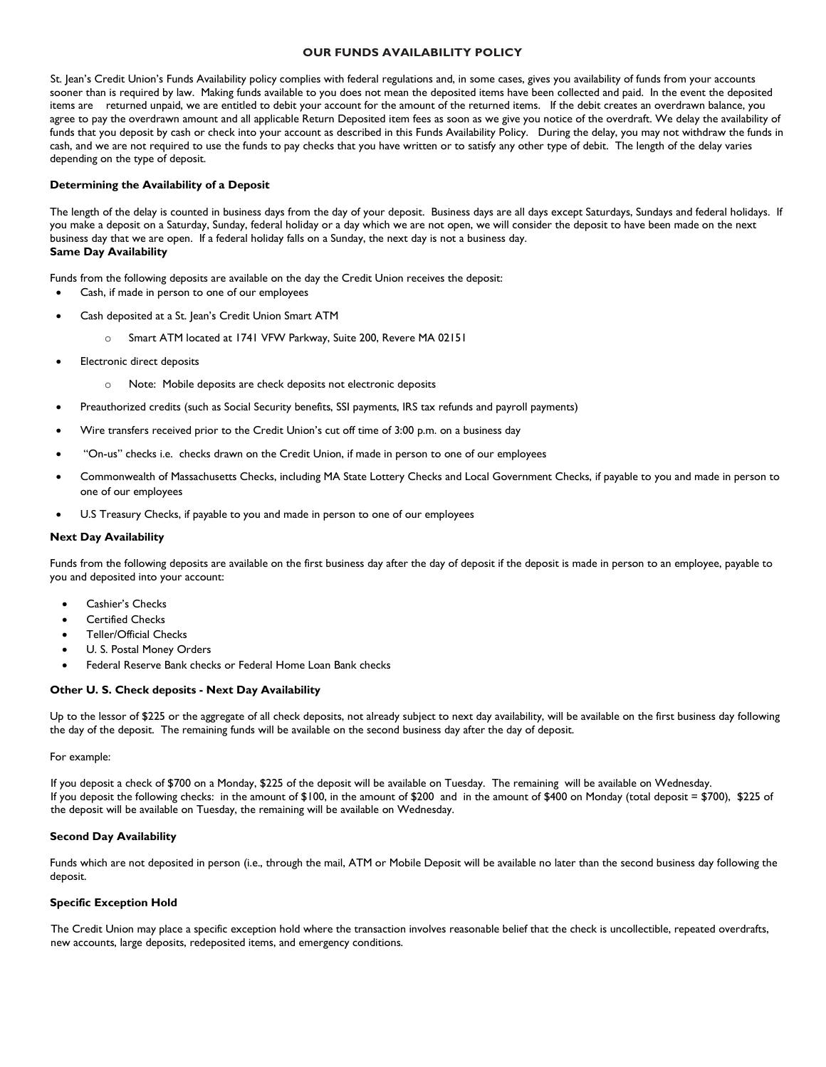### **OUR FUNDS AVAILABILITY POLICY**

 St. Jean's Credit Union's Funds Availability policy complies with federal regulations and, in some cases, gives you availability of funds from your accounts sooner than is required by law. Making funds available to you does not mean the deposited items have been collected and paid. In the event the deposited items are returned unpaid, we are entitled to debit your account for the amount of the returned items. If the debit creates an overdrawn balance, you agree to pay the overdrawn amount and all applicable Return Deposited item fees as soon as we give you notice of the overdraft. We delay the availability of funds that you deposit by cash or check into your account as described in this Funds Availability Policy. During the delay, you may not withdraw the funds in cash, and we are not required to use the funds to pay checks that you have written or to satisfy any other type of debit. The length of the delay varies depending on the type of deposit.

## **Determining the Availability of a Deposit**

The length of the delay is counted in business days from the day of your deposit. Business days are all days except Saturdays, Sundays and federal holidays. If you make a deposit on a Saturday, Sunday, federal holiday or a day which we are not open, we will consider the deposit to have been made on the next business day that we are open. If a federal holiday falls on a Sunday, the next day is not a business day. **Same Day Availability**

Funds from the following deposits are available on the day the Credit Union receives the deposit:

- Cash, if made in person to one of our employees
- Cash deposited at a St. Jean's Credit Union Smart ATM
	- o Smart ATM located at 1741 VFW Parkway, Suite 200, Revere MA 02151
- Electronic direct deposits
	- o Note: Mobile deposits are check deposits not electronic deposits
- Preauthorized credits (such as Social Security benefits, SSI payments, IRS tax refunds and payroll payments)
- Wire transfers received prior to the Credit Union's cut off time of 3:00 p.m. on a business day
- "On-us" checks i.e. checks drawn on the Credit Union, if made in person to one of our employees
- Commonwealth of Massachusetts Checks, including MA State Lottery Checks and Local Government Checks, if payable to you and made in person to one of our employees
- U.S Treasury Checks, if payable to you and made in person to one of our employees

#### **Next Day Availability**

Funds from the following deposits are available on the first business day after the day of deposit if the deposit is made in person to an employee, payable to you and deposited into your account:

- Cashier's Checks
- **Certified Checks**
- Teller/Official Checks
- U. S. Postal Money Orders
- Federal Reserve Bank checks or Federal Home Loan Bank checks

### **Other U. S. Check deposits - Next Day Availability**

Up to the lessor of \$225 or the aggregate of all check deposits, not already subject to next day availability, will be available on the first business day following the day of the deposit. The remaining funds will be available on the second business day after the day of deposit.

#### For example:

 If you deposit a check of \$700 on a Monday, \$225 of the deposit will be available on Tuesday. The remaining will be available on Wednesday. If you deposit the following checks: in the amount of \$100, in the amount of \$200 and in the amount of \$400 on Monday (total deposit = \$700), \$225 of the deposit will be available on Tuesday, the remaining will be available on Wednesday.

### **Second Day Availability**

Funds which are not deposited in person (i.e., through the mail, ATM or Mobile Deposit will be available no later than the second business day following the deposit.

#### **Specific Exception Hold**

 The Credit Union may place a specific exception hold where the transaction involves reasonable belief that the check is uncollectible, repeated overdrafts, new accounts, large deposits, redeposited items, and emergency conditions.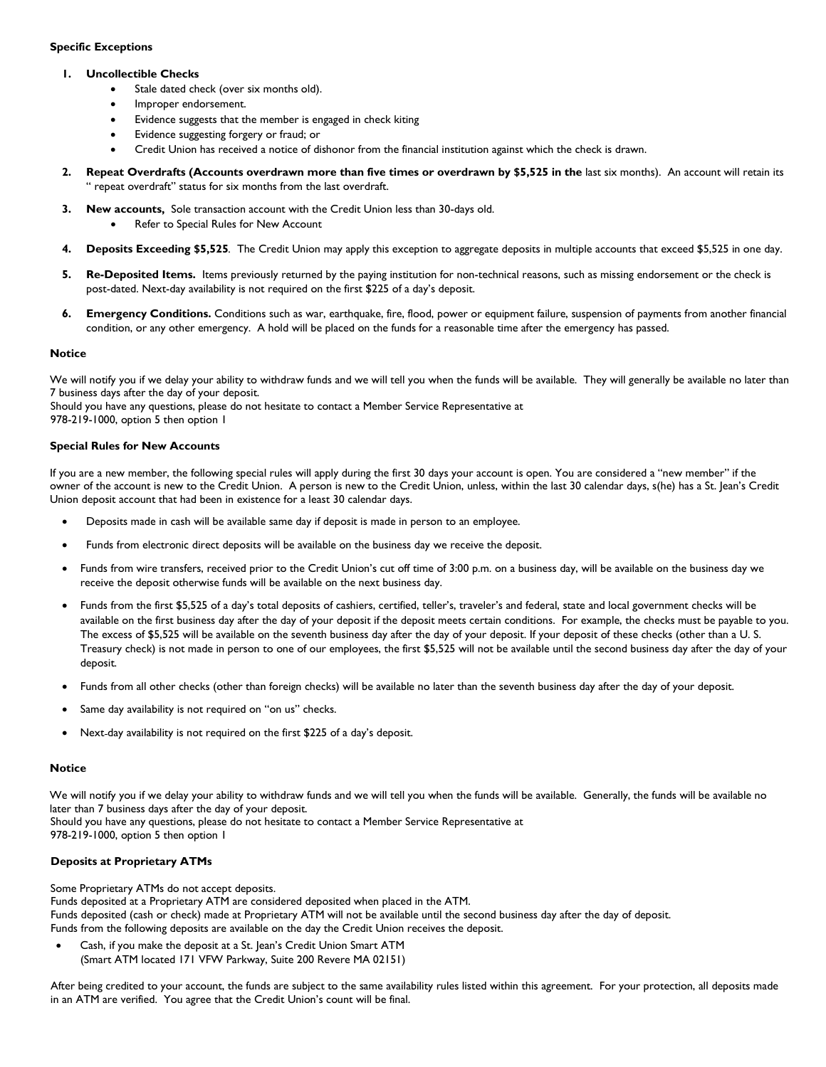# **Specific Exceptions**

## **1. Uncollectible Checks**

- Stale dated check (over six months old).
- Improper endorsement.
- Evidence suggests that the member is engaged in check kiting
- Evidence suggesting forgery or fraud; or
- Credit Union has received a notice of dishonor from the financial institution against which the check is drawn.
- **2. Repeat Overdrafts (Accounts overdrawn more than five times or overdrawn by \$5,525 in the** last six months). An account will retain its " repeat overdraft" status for six months from the last overdraft.
- **3. New accounts,** Sole transaction account with the Credit Union less than 30-days old.
	- Refer to Special Rules for New Account
- **4. Deposits Exceeding \$5,525***.* The Credit Union may apply this exception to aggregate deposits in multiple accounts that exceed \$5,525 in one day.
- **5. Re-Deposited Items.** Items previously returned by the paying institution for non-technical reasons, such as missing endorsement or the check is post-dated. Next-day availability is not required on the first \$225 of a day's deposit.
- **6. Emergency Conditions.** Conditions such as war, earthquake, fire, flood, power or equipment failure, suspension of payments from another financial condition, or any other emergency. A hold will be placed on the funds for a reasonable time after the emergency has passed.

## **Notice**

We will notify you if we delay your ability to withdraw funds and we will tell you when the funds will be available. They will generally be available no later than 7 business days after the day of your deposit.

 Should you have any questions, please do not hesitate to contact a Member Service Representative at 978-219-1000, option 5 then option 1

### **Special Rules for New Accounts**

If you are a new member, the following special rules will apply during the first 30 days your account is open. You are considered a "new member" if the owner of the account is new to the Credit Union. A person is new to the Credit Union, unless, within the last 30 calendar days, s(he) has a St. Jean's Credit Union deposit account that had been in existence for a least 30 calendar days.

- Deposits made in cash will be available same day if deposit is made in person to an employee.
- Funds from electronic direct deposits will be available on the business day we receive the deposit.
- Funds from wire transfers, received prior to the Credit Union's cut off time of 3:00 p.m. on a business day, will be available on the business day we receive the deposit otherwise funds will be available on the next business day.
- Funds from the first \$5,525 of a day's total deposits of cashiers, certified, teller's, traveler's and federal, state and local government checks will be available on the first business day after the day of your deposit if the deposit meets certain conditions. For example, the checks must be payable to you. The excess of \$5,525 will be available on the seventh business day after the day of your deposit. If your deposit of these checks (other than a U. S. Treasury check) is not made in person to one of our employees, the first \$5,525 will not be available until the second business day after the day of your deposit.
- Funds from all other checks (other than foreign checks) will be available no later than the seventh business day after the day of your deposit.
- Same day availability is not required on "on us" checks.
- Next-day availability is not required on the first \$225 of a day's deposit.

### **Notice**

We will notify you if we delay your ability to withdraw funds and we will tell you when the funds will be available. Generally, the funds will be available no later than 7 business days after the day of your deposit. Should you have any questions, please do not hesitate to contact a Member Service Representative at 978-219-1000, option 5 then option 1

# **Deposits at Proprietary ATMs**

 Some Proprietary ATMs do not accept deposits. Funds deposited at a Proprietary ATM are considered deposited when placed in the ATM. Funds deposited (cash or check) made at Proprietary ATM will not be available until the second business day after the day of deposit. Funds from the following deposits are available on the day the Credit Union receives the deposit.

• Cash, if you make the deposit at a St. Jean's Credit Union Smart ATM (Smart ATM located 171 VFW Parkway, Suite 200 Revere MA 02151)

 After being credited to your account, the funds are subject to the same availability rules listed within this agreement. For your protection, all deposits made in an ATM are verified. You agree that the Credit Union's count will be final.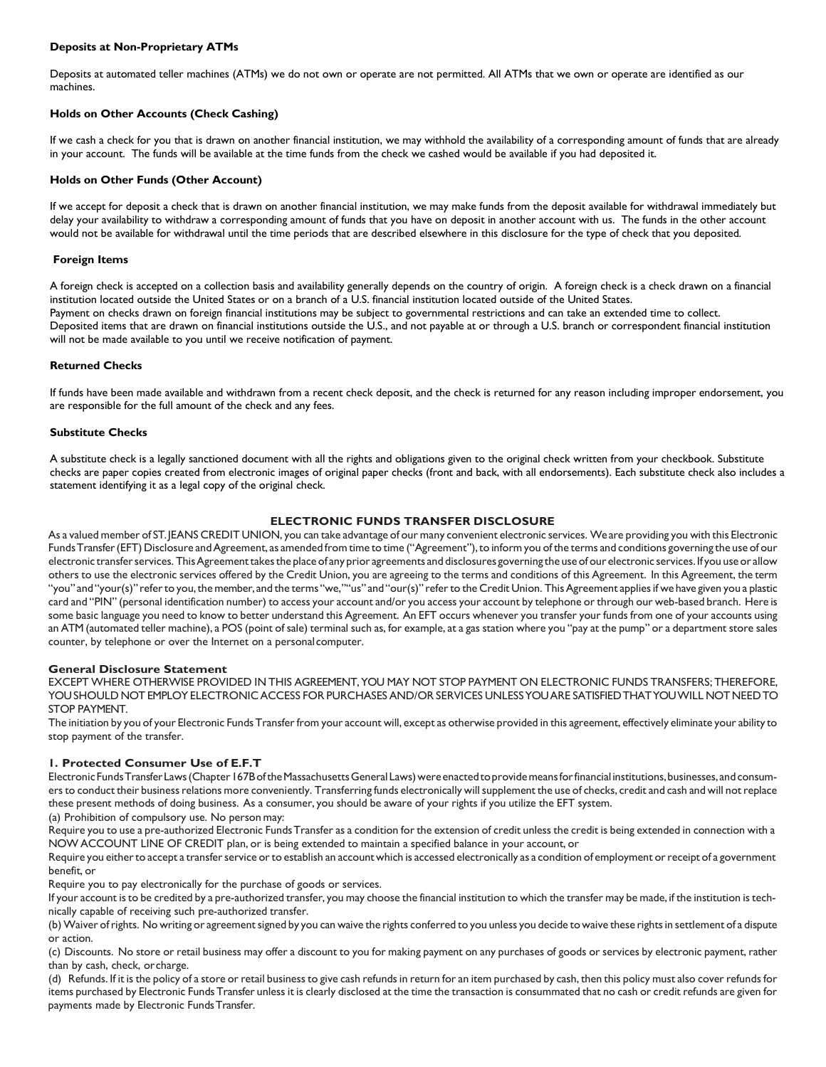# **Deposits at Non-Proprietary ATMs**

Deposits at automated teller machines (ATMs) we do not own or operate are not permitted. All ATMs that we own or operate are identified as our machines.

# **Holds on Other Accounts (Check Cashing)**

If we cash a check for you that is drawn on another financial institution, we may withhold the availability of a corresponding amount of funds that are already in your account. The funds will be available at the time funds from the check we cashed would be available if you had deposited it.

### **Holds on Other Funds (Other Account)**

If we accept for deposit a check that is drawn on another financial institution, we may make funds from the deposit available for withdrawal immediately but delay your availability to withdraw a corresponding amount of funds that you have on deposit in another account with us. The funds in the other account would not be available for withdrawal until the time periods that are described elsewhere in this disclosure for the type of check that you deposited.

### **Foreign Items**

A foreign check is accepted on a collection basis and availability generally depends on the country of origin. A foreign check is a check drawn on a financial institution located outside the United States or on a branch of a U.S. financial institution located outside of the United States. Payment on checks drawn on foreign financial institutions may be subject to governmental restrictions and can take an extended time to collect. Deposited items that are drawn on financial institutions outside the U.S., and not payable at or through a U.S. branch or correspondent financial institution will not be made available to you until we receive notification of payment.

### **Returned Checks**

If funds have been made available and withdrawn from a recent check deposit, and the check is returned for any reason including improper endorsement, you are responsible for the full amount of the check and any fees.

### **Substitute Checks**

A substitute check is a legally sanctioned document with all the rights and obligations given to the original check written from your checkbook. Substitute checks are paper copies created from electronic images of original paper checks (front and back, with all endorsements). Each substitute check also includes a statement identifying it as a legal copy of the original check.

### **ELECTRONIC FUNDS TRANSFER DISCLOSURE**

As a valued member of ST.JEANS CREDIT UNION, you can take advantage of our many convenient electronic services. We are providing you with this Electronic Funds Transfer (EFT) Disclosure and Agreement, as amended from time to time ("Agreement"), to inform you of the terms and conditions governing the use of our electronic transfer services. This Agreement takes the place of any prior agreements and disclosures governing the use of our electronic services. If you use or allow others to use the electronic services offered by the Credit Union, you are agreeing to the terms and conditions of this Agreement. In this Agreement, the term "you" and "your(s)" refer to you, the member, and the terms "we,""us" and "our(s)" refer to the Credit Union. This Agreement applies if we have given you a plastic card and "PIN" (personal identification number) to access your account and/or you access your account by telephone or through our web-based branch. Here is some basic language you need to know to better understand this Agreement. An EFT occurs whenever you transfer your funds from one of your accounts using an ATM (automated teller machine), a POS (point of sale) terminal such as, for example, at a gas station where you "pay at the pump" or a department store sales counter, by telephone or over the Internet on a personalcomputer.

#### **General Disclosure Statement**

EXCEPT WHERE OTHERWISE PROVIDED IN THIS AGREEMENT,YOU MAY NOT STOP PAYMENT ON ELECTRONIC FUNDS TRANSFERS; THEREFORE, YOUSHOULD NOT EMPLOYELECTRONIC ACCESS FOR PURCHASESAND/OR SERVICES UNLESSYOUARE SATISFIEDTHATYOUWILL NOTNEEDTO STOP PAYMENT.

The initiation by you of your Electronic FundsTransferfrom your account will, except as otherwise provided in this agreement, effectively eliminate your ability to stop payment of the transfer.

### **1. Protected Consumer Use of E.F.T**

Electronic Funds Transfer Laws (Chapter 167B of the Massachusetts General Laws) were enacted to provide means for financial institutions, businesses, and consumers to conduct their business relations more conveniently. Transferring funds electronically will supplement the use of checks, credit and cash and will not replace these present methods of doing business. As a consumer, you should be aware of your rights if you utilize the EFT system.

(a) Prohibition of compulsory use. No person may:

Require you to use a pre-authorized Electronic Funds Transfer as a condition for the extension of credit unless the credit is being extended in connection with a NOW ACCOUNT LINE OF CREDIT plan, or is being extended to maintain a specified balance in your account, or

Require you either to accept a transfer service or to establish an account which is accessed electronically as a condition of employment or receipt of a government benefit, or

Require you to pay electronically for the purchase of goods or services.

If your account isto be credited by a pre-authorized transfer, you may choose the financial institution to which the transfer may be made, if the institution istechnically capable of receiving such pre-authorized transfer.

(b)Waiver ofrights. No writing or agreementsigned by you can waive the rights conferred to you unless you decide to waive these rightsin settlement of a dispute or action.

(c) Discounts. No store or retail business may offer a discount to you for making payment on any purchases of goods or services by electronic payment, rather than by cash, check, orcharge.

(d) Refunds. If it is the policy of a store or retail business to give cash refunds in return for an item purchased by cash, then this policy must also cover refunds for items purchased by Electronic FundsTransfer unless it is clearly disclosed at the time the transaction is consummated that no cash or credit refunds are given for payments made by Electronic FundsTransfer.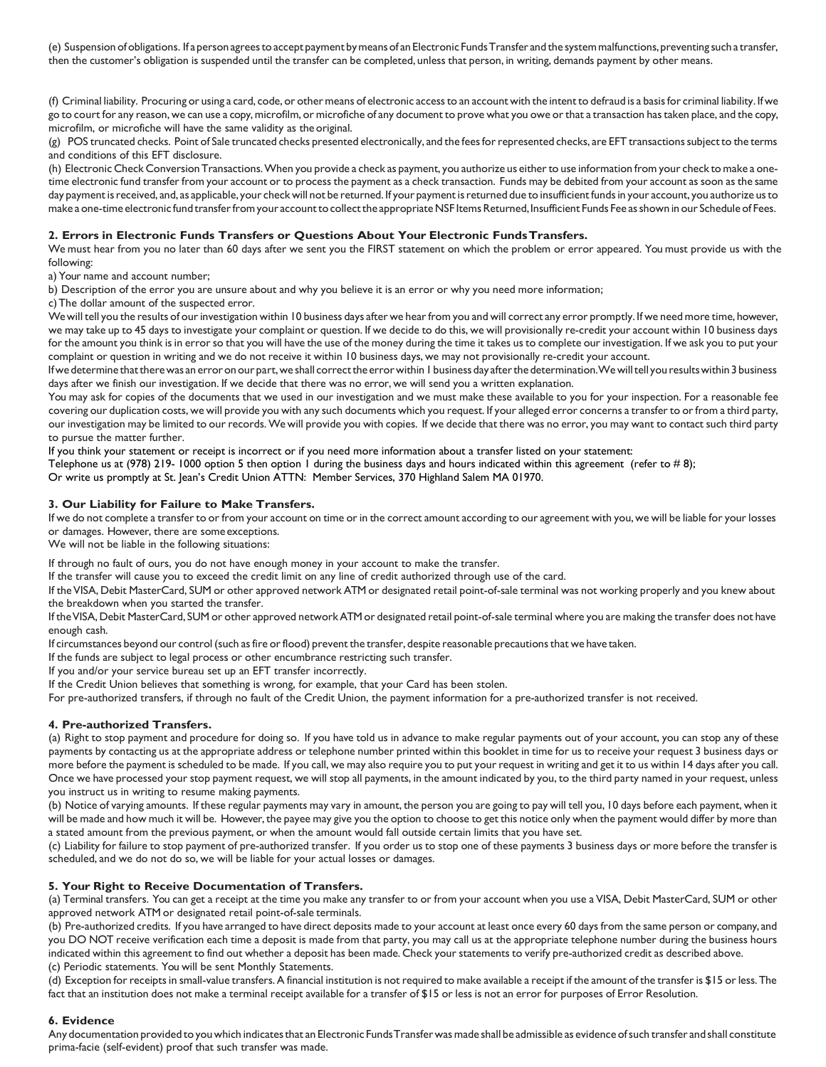(e) Suspension ofobligations. If aperson agreestoaccept payment bymeansof an Electronic FundsTransfer and the systemmalfunctions,preventing such a transfer, then the customer's obligation is suspended until the transfer can be completed, unless that person, in writing, demands payment by other means.

(f) Criminal liability. Procuring or using a card, code, or othermeans of electronic accessto an account with the intentto defraud is a basisfor criminal liability. If we go to court for any reason, we can use a copy,microfilm, or microfiche of any document to prove what you owe orthat a transaction hastaken place, and the copy, microfilm, or microfiche will have the same validity as the original.

(g) POS truncated checks. Point of Sale truncated checks presented electronically, and the fees for represented checks, are EFT transactions subject to the terms and conditions of this EFT disclosure.

(h) Electronic Check ConversionTransactions.When you provide a check as payment, you authorize us eitherto use information from your check to make a onetime electronic fund transfer from your account or to process the payment as a check transaction. Funds may be debited from your account assoon as the same day payment is received, and, as applicable, your check will not be returned. If your payment is returned due to insufficient funds in your account, you authorize us to make a one-time electronic fund transfer from your account to collect the appropriate NSF Items Returned, Insufficient Funds Fee as shown in our Schedule of Fees.

# **2. Errors in Electronic Funds Transfers or Questions About Your Electronic FundsTransfers.**

We must hear from you no later than 60 days after we sent you the FIRST statement on which the problem or error appeared. You must provide us with the following:

a) Your name and account number;

b) Description of the error you are unsure about and why you believe it is an error or why you need more information;

c)The dollar amount of the suspected error.

We will tell you the results of our investigation within 10 business days after we hear from you and will correct any error promptly. If we need more time, however, we may take up to 45 days to investigate your complaint or question. If we decide to do this, we will provisionally re-credit your account within 10 business days for the amount you think is in errorso that you will have the use of the money during the time it takes usto complete our investigation. If we ask you to put your complaint or question in writing and we do not receive it within 10 business days, we may not provisionally re-credit your account.

If we determine that there was an error on our part, we shall correct the error within 1 business day after the determination. We will tell you results within 3 business days after we finish our investigation. If we decide that there was no error, we will send you a written explanation.

You may ask for copies of the documents that we used in our investigation and we must make these available to you for your inspection. For a reasonable fee covering our duplication costs, we will provide you with any such documents which you request. If your alleged error concerns a transferto orfrom a third party, our investigation may be limited to our records.We will provide you with copies. If we decide that there was no error, you may want to contact such third party to pursue the matter further.

If you think your statement or receipt is incorrect or if you need more information about a transfer listed on your statement:

Telephone us at (978) 219-1000 option 5 then option 1 during the business days and hours indicated within this agreement (refer to #8); Or write us promptly at St. Jean's Credit Union ATTN: Member Services, 370 Highland Salem MA 01970.

# **3. Our Liability for Failure to Make Transfers.**

If we do not complete a transfer to or from your account on time or in the correct amount according to our agreement with you, we will be liable for your losses or damages. However, there are someexceptions.

We will not be liable in the following situations:

If through no fault of ours, you do not have enough money in your account to make the transfer.

If the transfer will cause you to exceed the credit limit on any line of credit authorized through use of the card.

If theVISA, Debit MasterCard, SUM or other approved network ATM or designated retail point-of-sale terminal was not working properly and you knew about the breakdown when you started the transfer.

If theVISA,Debit MasterCard, SUM or other approved networkATMor designated retail point-of-sale terminal where you are making the transfer does not have enough cash.

If circumstances beyond our control (such asfire orflood) prevent the transfer, despite reasonable precautionsthat we have taken.

If the funds are subject to legal process or other encumbrance restricting such transfer.

If you and/or your service bureau set up an EFT transfer incorrectly.

If the Credit Union believes that something is wrong, for example, that your Card has been stolen.

For pre-authorized transfers, if through no fault of the Credit Union, the payment information for a pre-authorized transfer is not received.

### **4. Pre-authorized Transfers.**

(a) Right to stop payment and procedure for doing so. If you have told us in advance to make regular payments out of your account, you can stop any of these payments by contacting us at the appropriate address or telephone number printed within this booklet in time for us to receive your request 3 business days or more before the payment is scheduled to be made. If you call, we may also require you to put your request in writing and get it to us within 14 days after you call. Once we have processed your stop payment request, we will stop all payments, in the amount indicated by you, to the third party named in your request, unless you instruct us in writing to resume making payments.

(b) Notice of varying amounts. If these regular payments may vary in amount, the person you are going to pay will tell you, 10 days before each payment, when it will be made and how much it will be. However, the payee may give you the option to choose to get this notice only when the payment would differ by more than a stated amount from the previous payment, or when the amount would fall outside certain limits that you have set.

(c) Liability for failure to stop payment of pre-authorized transfer. If you order us to stop one of these payments 3 business days or more before the transferis scheduled, and we do not do so, we will be liable for your actual losses or damages.

### **5. Your Right to Receive Documentation of Transfers.**

(a) Terminal transfers. You can get a receipt at the time you make any transfer to or from your account when you use a VISA, Debit MasterCard, SUM or other approved network ATM or designated retail point-of-sale terminals.

(b) Pre-authorized credits. If you have arranged to have direct deposits made to your account at least once every 60 days from the same person or company, and you DO NOT receive verification each time a deposit is made from that party, you may call us at the appropriate telephone number during the business hours indicated within this agreement to find out whether a deposit has been made. Check your statements to verify pre-authorized credit as described above. (c) Periodic statements. You will be sent Monthly Statements.

(d) Exception forreceiptsin small-value transfers.A financial institution is not required to make available a receipt if the amount of the transferis \$15 orless.The fact that an institution does not make a terminal receipt available for a transfer of \$15 or less is not an error for purposes of Error Resolution.

### **6. Evidence**

Any documentation provided toyouwhich indicatesthat an Electronic FundsTransferwasmade shall be admissible as evidence ofsuch transfer and shall constitute prima-facie (self-evident) proof that such transfer was made.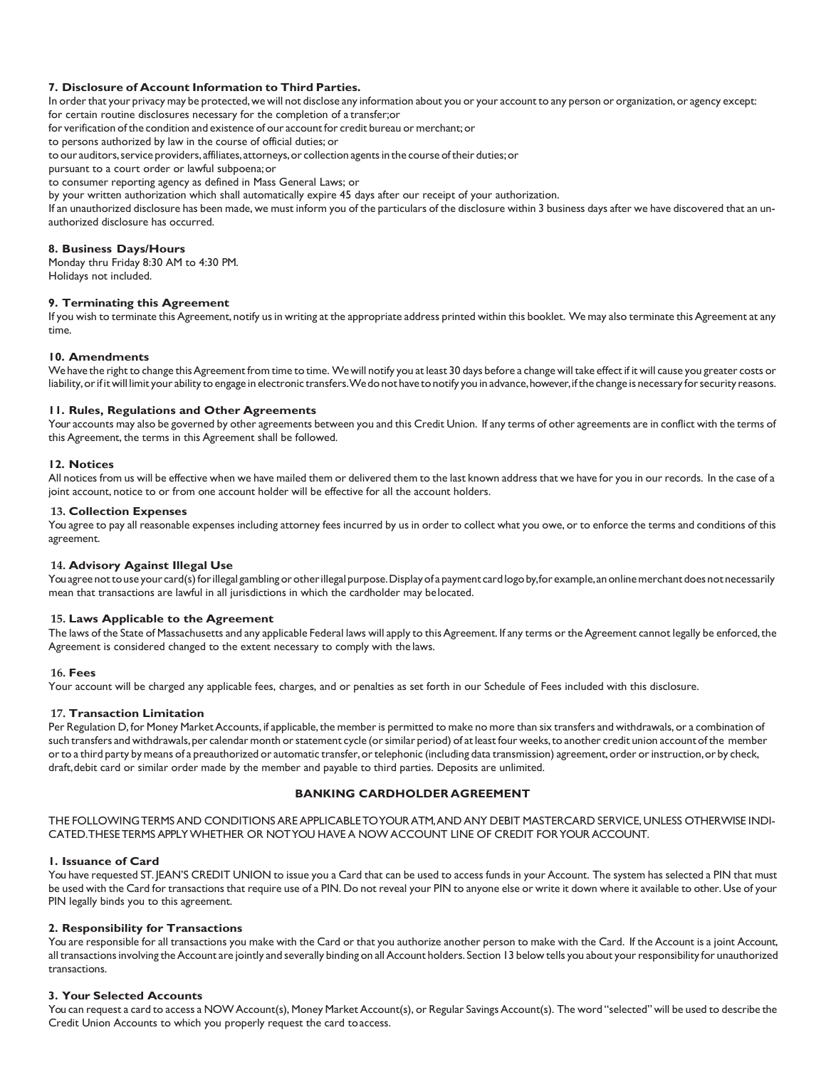### **7. Disclosure of Account Information to Third Parties.**

In order that your privacy may be protected, we will not disclose any information about you or your account to any person or organization, or agency except:

for certain routine disclosures necessary for the completion of a transfer;or for verification of the condition and existence of our account for credit bureau or merchant; or

to persons authorized by law in the course of official duties; or

to our auditors, service providers, affiliates, attorneys, or collection agents in the course of their duties; or

pursuant to a court order or lawful subpoena;or

to consumer reporting agency as defined in Mass General Laws; or

by your written authorization which shall automatically expire 45 days after our receipt of your authorization.

If an unauthorized disclosure has been made, we must inform you of the particulars of the disclosure within 3 business days after we have discovered that an unauthorized disclosure has occurred.

### **8. Business Days/Hours**

Monday thru Friday 8:30 AM to 4:30 PM. Holidays not included.

#### **9. Terminating this Agreement**

If you wish to terminate this Agreement, notify us in writing at the appropriate address printed within this booklet. We may also terminate this Agreement at any time.

# **10. Amendments**

We have the right to change thisAgreement from time to time. Wewill notify you at least 30 days before a change will take effect if it will cause you greater costs or liability, or if it will limit your ability to engage in electronic transfers. We do not have to notify you in advance, however, if the change is necessary for security reasons.

#### **11. Rules, Regulations and Other Agreements**

Your accounts may also be governed by other agreements between you and this Credit Union. If any terms of other agreements are in conflict with the terms of this Agreement, the terms in this Agreement shall be followed.

#### **12. Notices**

All notices from us will be effective when we have mailed them or delivered them to the last known address that we have for you in our records. In the case of a joint account, notice to or from one account holder will be effective for all the account holders.

#### **13. Collection Expenses**

You agree to pay all reasonable expenses including attorney fees incurred by us in order to collect what you owe, or to enforce the terms and conditions of this agreement.

### **14. Advisory Against Illegal Use**

Youagree not to use your card(s) for illegal gambling or other illegal purpose. Display of a payment card logo by, for example, an online merchant does not necessarily mean that transactions are lawful in all jurisdictions in which the cardholder may belocated.

#### **15. Laws Applicable to the Agreement**

The laws of the State of Massachusetts and any applicable Federal laws will apply to this Agreement. If any terms or the Agreement cannot legally be enforced, the Agreement is considered changed to the extent necessary to comply with the laws.

#### **16. Fees**

Your account will be charged any applicable fees, charges, and or penalties as set forth in our Schedule of Fees included with this disclosure.

### **17. Transaction Limitation**

Per Regulation D, for Money Market Accounts, if applicable, the member is permitted to make no more than six transfers and withdrawals, or a combination of such transfers and withdrawals, per calendar month or statement cycle (or similar period) of at least four weeks, to another credit union account of the member or to a third party by means of a preauthorized or automatic transfer, or telephonic (including data transmission) agreement, order or instruction, or by check, draft,debit card or similar order made by the member and payable to third parties. Deposits are unlimited.

# **BANKING CARDHOLDER AGREEMENT**

THE FOLLOWINGTERMS AND CONDITIONS ARE APPLICABLETOYOURATM,AND ANY DEBIT MASTERCARD SERVICE, UNLESS OTHERWISE INDI-CATED.THESETERMS APPLYWHETHER OR NOTYOU HAVE A NOW ACCOUNT LINE OF CREDIT FORYOUR ACCOUNT.

### **1. Issuance of Card**

You have requested ST. JEAN'S CREDIT UNION to issue you a Card that can be used to access funds in your Account. The system has selected a PIN that must be used with the Card for transactions that require use of a PIN. Do not reveal your PIN to anyone else or write it down where it available to other. Use of your PIN legally binds you to this agreement.

### **2. Responsibility for Transactions**

You are responsible for all transactions you make with the Card or that you authorize another person to make with the Card. If the Account is a joint Account, all transactions involving the Account are jointly and severally binding on all Account holders. Section 13 below tells you about your responsibility for unauthorized transactions.

### **3. Your Selected Accounts**

You can request a card to access a NOW Account(s), Money Market Account(s), or Regular Savings Account(s). The word "selected" will be used to describe the Credit Union Accounts to which you properly request the card toaccess.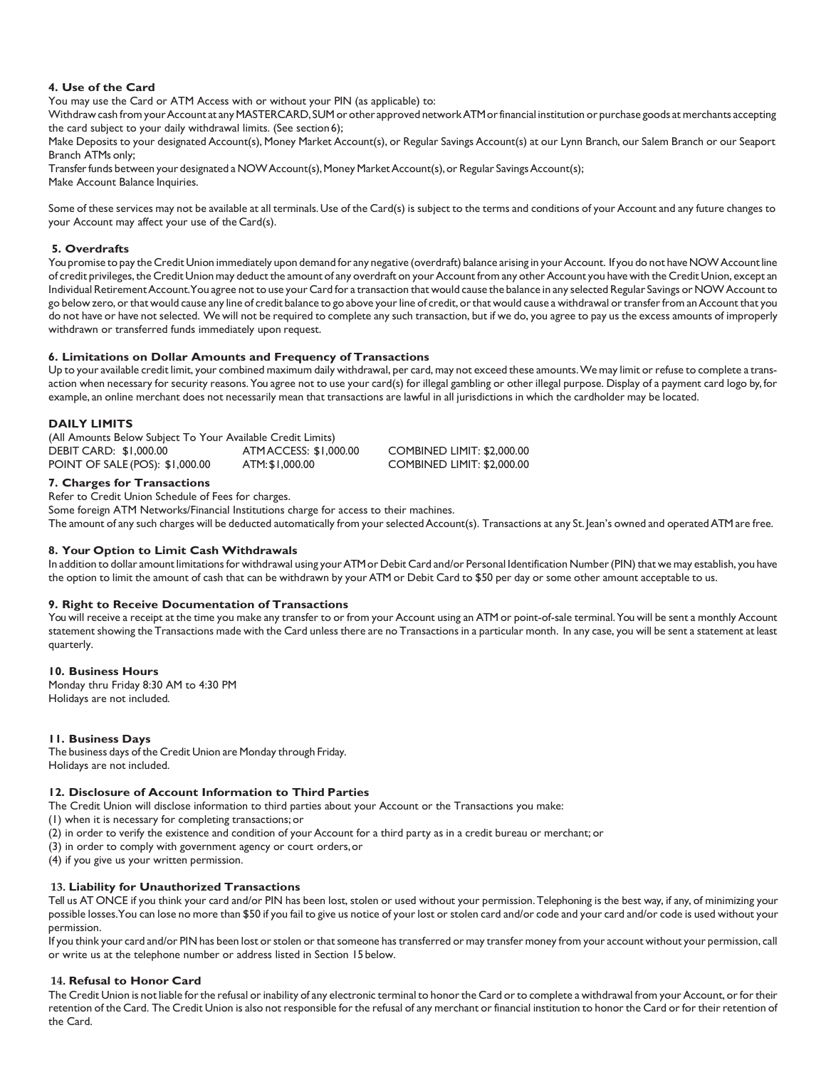# **4. Use of the Card**

You may use the Card or ATM Access with or without your PIN (as applicable) to:

Withdraw cash from your Account at any MASTERCARD, SUM or other approved network ATM or financial institution or purchase goods at merchants accepting the card subject to your daily withdrawal limits. (See section6);

Make Deposits to your designated Account(s), Money Market Account(s), or Regular Savings Account(s) at our Lynn Branch, our Salem Branch or our Seaport Branch ATMs only;

Transfer funds between your designated a NOW Account(s), Money Market Account(s), or Regular Savings Account(s); Make Account Balance Inquiries.

Some of these services may not be available at all terminals. Use of the Card(s) is subject to the terms and conditions of your Account and any future changes to your Account may affect your use of the Card(s).

# **5. Overdrafts**

You promise to pay the Credit Union immediately upon demand for any negative (overdraft) balance arising in your Account. If you do not have NOW Account line of credit privileges, the Credit Union may deduct the amount of any overdraft on your Account from any other Account you have with the Credit Union, except an Individual RetirementAccount.You agree not to use your Card for a transaction that would cause the balance in any selected Regular Savings or NOWAccount to go below zero, or that would cause any line of credit balance to go above your line of credit, or that would cause a withdrawal or transfer from an Account that you do not have or have not selected. We will not be required to complete any such transaction, but if we do, you agree to pay us the excess amounts of improperly withdrawn or transferred funds immediately upon request.

### **6. Limitations on Dollar Amounts and Frequency of Transactions**

Up to your available credit limit, your combined maximum daily withdrawal, per card, may not exceed these amounts. We may limit or refuse to complete a transaction when necessary for security reasons.You agree not to use your card(s) for illegal gambling or other illegal purpose. Display of a payment card logo by, for example, an online merchant does not necessarily mean that transactions are lawful in all jurisdictions in which the cardholder may be located.

# **DAILY LIMITS**

| (All Amounts Below Subject To Your Available Credit Limits) |                       |                            |  |
|-------------------------------------------------------------|-----------------------|----------------------------|--|
| <b>DEBIT CARD: \$1,000.00</b>                               | ATMACCESS: \$1,000.00 | COMBINED LIMIT: \$2.000.00 |  |
| POINT OF SALE (POS): \$1,000.00                             | ATM: \$1,000.00       | COMBINED LIMIT: \$2,000.00 |  |

# **7. Charges for Transactions**

Refer to Credit Union Schedule of Fees for charges.

Some foreign ATM Networks/Financial Institutions charge for access to their machines.

The amount of any such charges will be deducted automatically from your selected Account(s). Transactions at any St. Jean's owned and operated ATM are free.

### **8. Your Option to Limit Cash Withdrawals**

In addition to dollar amount limitationsfor withdrawal using yourATMor Debit Card and/or Personal Identification Number(PIN) that we may establish, you have the option to limit the amount of cash that can be withdrawn by your ATM or Debit Card to \$50 per day or some other amount acceptable to us.

### **9. Right to Receive Documentation of Transactions**

You will receive a receipt at the time you make any transfer to or from your Account using an ATM or point-of-sale terminal.You will be sent a monthly Account statement showing the Transactions made with the Card unless there are no Transactions in a particular month. In any case, you will be sent a statement at least quarterly.

### **10. Business Hours**

Monday thru Friday 8:30 AM to 4:30 PM Holidays are not included.

### **11. Business Days**

The business days of the Credit Union are Monday through Friday. Holidays are not included.

### **12. Disclosure of Account Information to Third Parties**

The Credit Union will disclose information to third parties about your Account or the Transactions you make:

- (1) when it is necessary for completing transactions; or
- (2) in order to verify the existence and condition of your Account for a third party as in a credit bureau or merchant; or
- (3) in order to comply with government agency or court orders,or
- (4) if you give us your written permission.

### **13. Liability for Unauthorized Transactions**

Tell us AT ONCE if you think your card and/or PIN has been lost, stolen or used without your permission.Telephoning is the best way, if any, of minimizing your possible losses. You can lose no more than \$50 if you fail to give us notice of your lost or stolen card and/or code and your card and/or code is used without your permission.

If you think your card and/or PIN has been lost or stolen or that someone has transferred or may transfer money from your account without your permission, call or write us at the telephone number or address listed in Section 15 below.

### **14. Refusal to Honor Card**

The Credit Union is not liable for the refusal or inability of any electronic terminal to honor the Card or to complete a withdrawal from your Account, or for their retention of the Card. The Credit Union is also not responsible for the refusal of any merchant or financial institution to honor the Card or for their retention of the Card.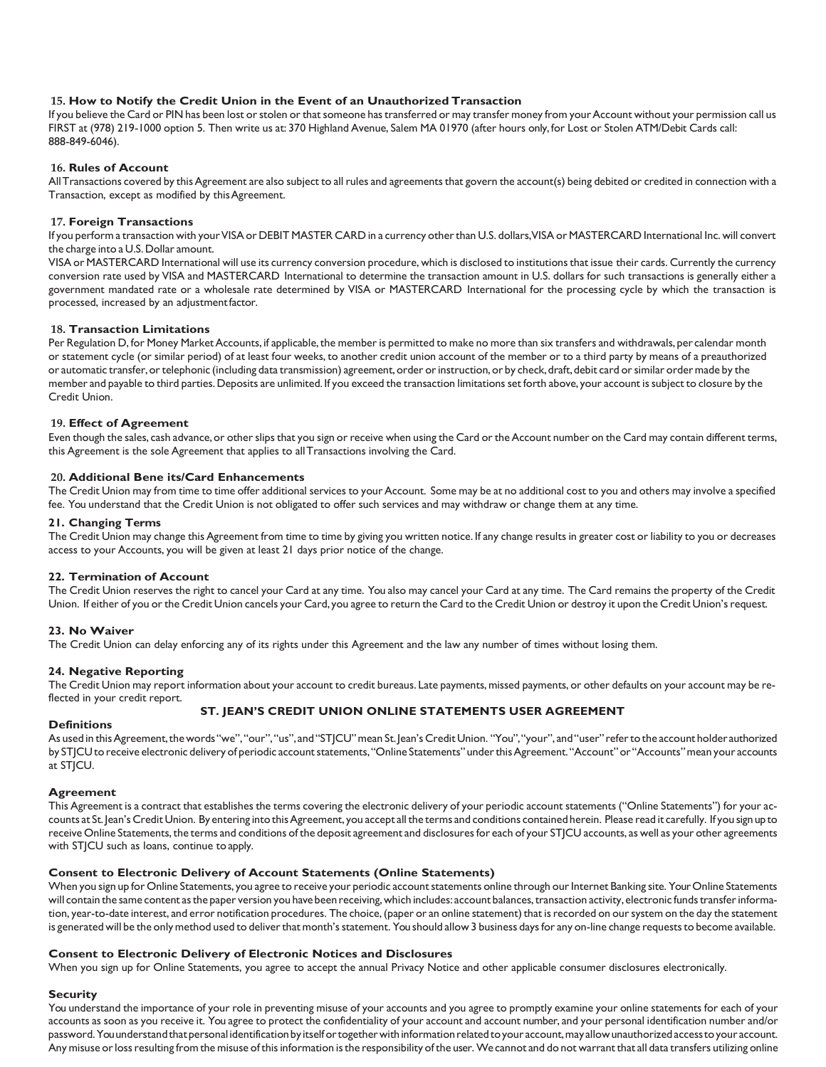## **15. How to Notify the Credit Union in the Event of an Unauthorized Transaction**

If you believe the Card or PIN has been lost or stolen or that someone has transferred or may transfer money from your Account without your permission call us FIRST at (978) 219-1000 option 5. Then write us at: 370 Highland Avenue, Salem MA 01970 (after hours only, for Lost or Stolen ATM/Debit Cards call: 888-849-6046).

## **16. Rules of Account**

All Transactions covered by this Agreement are also subject to all rules and agreements that govern the account(s) being debited or credited in connection with a Transaction, except as modified by thisAgreement.

### **17. Foreign Transactions**

If you perform a transaction with your VISA or DEBIT MASTER CARD in a currency other than U.S. dollars, VISA or MASTERCARD International Inc. will convert the charge into a U.S.Dollar amount.

VISA or MASTERCARD International will use its currency conversion procedure, which is disclosed to institutionsthat issue their cards. Currently the currency conversion rate used by VISA and MASTERCARD International to determine the transaction amount in U.S. dollars for such transactions is generally either a government mandated rate or a wholesale rate determined by VISA or MASTERCARD International for the processing cycle by which the transaction is processed, increased by an adjustmentfactor.

### **18. Transaction Limitations**

Per Regulation D, for Money Market Accounts, if applicable, the member is permitted to make no more than six transfers and withdrawals, per calendar month or statement cycle (or similar period) of at least four weeks, to another credit union account of the member or to a third party by means of a preauthorized or automatic transfer, or telephonic (including data transmission) agreement, order or instruction, or by check, draft, debit card or similar order made by the member and payable to third parties.Deposits are unlimited. If you exceed the transaction limitations set forth above, your account issubject to closure by the Credit Union.

# **19. Effect of Agreement**

Even though the sales, cash advance, or other slips that you sign or receive when using the Card or the Account number on the Card may contain different terms, this Agreement is the sole Agreement that applies to allTransactions involving the Card.

# **20. Additional Bene its/Card Enhancements**

The Credit Union may from time to time offer additional services to your Account. Some may be at no additional cost to you and others may involve a specified fee. You understand that the Credit Union is not obligated to offer such services and may withdraw or change them at any time.

# **21. Changing Terms**

The Credit Union may change thisAgreement from time to time by giving you written notice. If any change results in greater cost or liability to you or decreases access to your Accounts, you will be given at least 21 days prior notice of the change.

### **22. Termination of Account**

The Credit Union reserves the right to cancel your Card at any time. You also may cancel your Card at any time. The Card remains the property of the Credit Union. If either of you or the Credit Union cancels your Card, you agree to return the Card to the Credit Union or destroy it upon the Credit Union's request.

# **23. No Waiver**

The Credit Union can delay enforcing any of its rights under this Agreement and the law any number of times without losing them.

### **24. Negative Reporting**

The Credit Union may report information about your account to credit bureaus. Late payments, missed payments, or other defaults on your account may be reflected in your credit report.

# **ST. JEAN'S CREDIT UNION ONLINE STATEMENTS USER AGREEMENT**

### **Definitions**

As used in this Agreement, the words "we", "our", "us", and "STJCU" mean St. Jean's Credit Union. "You", "your", and "user" refer to the account holder authorized by STJCU to receive electronic delivery of periodic account statements, "Online Statements" under this Agreement. "Account" or "Accounts" mean your accounts at STICU.

### **Agreement**

This Agreement is a contract that establishes the terms covering the electronic delivery of your periodic account statements ("Online Statements") for your accounts at St. Jean's Credit Union. By entering into this Agreement, you accept all the terms and conditions contained herein. Please read it carefully. If you sign up to receive Online Statements, the terms and conditions of the deposit agreement and disclosures for each of your STJCU accounts, as well as your other agreements with STJCU such as loans, continue to apply.

### **Consent to Electronic Delivery of Account Statements (Online Statements)**

When you sign up for Online Statements, you agree to receive your periodic account statements online through our Internet Banking site. Your Online Statements will contain the same content as the paper version you have been receiving, which includes: account balances, transaction activity, electronic funds transfer information, year-to-date interest, and error notification procedures. The choice, (paper or an online statement) that is recorded on our system on the day the statement is generated will be the only method used to deliver that month's statement. You should allow 3 business days for any on-line change requests to become available.

# **Consent to Electronic Delivery of Electronic Notices and Disclosures**

When you sign up for Online Statements, you agree to accept the annual Privacy Notice and other applicable consumer disclosures electronically.

### **Security**

You understand the importance of your role in preventing misuse of your accounts and you agree to promptly examine your online statements for each of your accounts as soon as you receive it. You agree to protect the confidentiality of your account and account number, and your personal identification number and/or password.Youunderstandthatpersonal identificationby itselfortogetherwithinformationrelatedtoyour account,may allowunauthorizedaccesstoyour account. Any misuse or loss resulting from the misuse of this information is the responsibility of the user. We cannot and do not warrant that all data transfers utilizing online